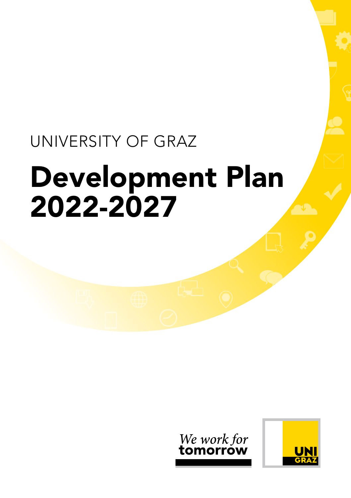# UNIVERSITY OF GRAZ Development Plan 2022-2027



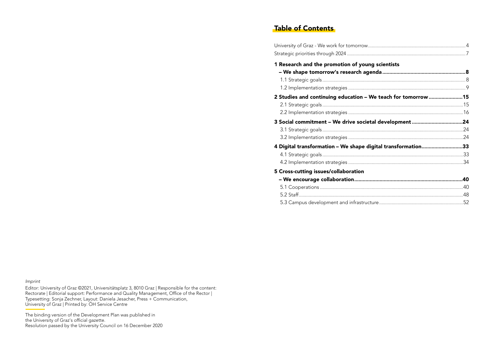# Table of Contents

| 1 Research and the promotion of young scientists              |  |
|---------------------------------------------------------------|--|
|                                                               |  |
|                                                               |  |
|                                                               |  |
| 2 Studies and continuing education - We teach for tomorrow 15 |  |
|                                                               |  |
|                                                               |  |
| 3 Social commitment - We drive societal development 24        |  |
|                                                               |  |
|                                                               |  |
| 4 Digital transformation - We shape digital transformation33  |  |
|                                                               |  |
|                                                               |  |
| 5 Cross-cutting issues/collaboration                          |  |
|                                                               |  |
|                                                               |  |
|                                                               |  |
|                                                               |  |

*Imprint*

Editor: University of Graz ©2021, Universitätsplatz 3, 8010 Graz | Responsible for the content: Rectorate | Editorial support: Performance and Quality Management, Office of the Rector | Typesetting: Sonja Zechner, Layout: Daniela Jesacher, Press + Communication, University of Graz | Printed by: ÖH Service Centre

The binding version of the Development Plan was published in the University of Graz's official gazette. Resolution passed by the University Council on 16 December 2020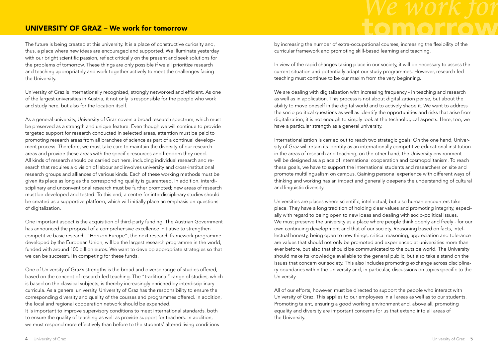# UNIVERSITY OF GRAZ – We work for tomorrow

The future is being created at this university. It is a place of constructive curiosity and, thus, a place where new ideas are encouraged and supported. We illuminate yesterday with our bright scientific passion, reflect critically on the present and seek solutions for the problems of tomorrow. These things are only possible if we all prioritize research and teaching appropriately and work together actively to meet the challenges facing the University.

University of Graz is internationally recognized, strongly networked and efficient. As one of the largest universities in Austria, it not only is responsible for the people who work and study here, but also for the location itself.

As a general university, University of Graz covers a broad research spectrum, which must be preserved as a strength and unique feature. Even though we will continue to provide targeted support for research conducted in selected areas, attention must be paid to promoting research areas from all branches of science as part of a continual development process. Therefore, we must take care to maintain the diversity of our research areas and provide these areas with the specific resources and freedom they need. All kinds of research should be carried out here, including individual research and research that requires a division of labour and involves university and cross-institutional research groups and alliances of various kinds. Each of these working methods must be given its place as long as the corresponding quality is guaranteed. In addition, interdisciplinary and unconventional research must be further promoted; new areas of research must be developed and tested. To this end, a centre for interdisciplinary studies should be created as a supportive platform, which will initially place an emphasis on questions of digitalization.

One important aspect is the acquisition of third-party funding. The Austrian Government has announced the proposal of a comprehensive excellence initiative to strengthen competitive basic research. "Horizon Europe", the next research framework programme developed by the European Union, will be the largest research programme in the world, funded with around 100 billion euros. We want to develop appropriate strategies so that we can be successful in competing for these funds.

One of University of Graz's strengths is the broad and diverse range of studies offered, based on the concept of research-led teaching. The "traditional" range of studies, which is based on the classical subjects, is thereby increasingly enriched by interdisciplinary curricula. As a general university, University of Graz has the responsibility to ensure the corresponding diversity and quality of the courses and programmes offered. In addition, the local and regional cooperation network should be expanded.

It is important to improve supervisory conditions to meet international standards, both to ensure the quality of teaching as well as provide support for teachers. In addition, we must respond more effectively than before to the students' altered living conditions by increasing the number of extra-occupational courses, increasing the flexibility of the curricular framework and promoting skill-based learning and teaching.

In view of the rapid changes taking place in our society, it will be necessary to assess the current situation and potentially adapt our study programmes. However, research-led teaching must continue to be our maxim from the very beginning.

We are dealing with digitalization with increasing frequency - in teaching and research as well as in application. This process is not about digitalization per se, but about the ability to move oneself in the digital world and to actively shape it. We want to address the socio-political questions as well as identify the opportunities and risks that arise from digitalization; it is not enough to simply look at the technological aspects. Here, too, we have a particular strength as a general university.

Internationalization is carried out to reach two strategic goals: On the one hand, University of Graz will retain its identity as an internationally competitive educational institution in the areas of research and teaching; on the other hand, the University environment will be designed as a place of international cooperation and cosmopolitanism. To reach these goals, we have to support the international students and researchers on site and promote multilingualism on campus. Gaining personal experience with different ways of thinking and working has an impact and generally deepens the understanding of cultural and linguistic diversity.

Universities are places where scientific, intellectual, but also human encounters take place. They have a long tradition of holding clear values and promoting integrity, especially with regard to being open to new ideas and dealing with socio-political issues. We must preserve the university as a place where people think openly and freely - for our own continuing development and that of our society. Reasoning based on facts, intellectual honesty, being open to new things, critical reasoning, appreciation and tolerance are values that should not only be promoted and experienced at universities more than ever before, but also that should be communicated to the outside world. The University should make its knowledge available to the general public, but also take a stand on the issues that concern our society. This also includes promoting exchange across disciplinary boundaries within the University and, in particular, discussions on topics specific to the University.

All of our efforts, however, must be directed to support the people who interact with University of Graz. This applies to our employees in all areas as well as to our students. Promoting talent, ensuring a good working environment and, above all, promoting equality and diversity are important concerns for us that extend into all areas of the University.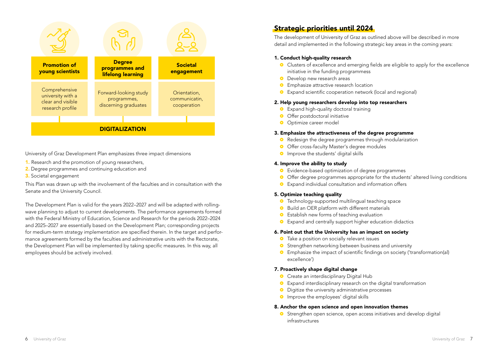

University of Graz Development Plan emphasizes three impact dimensions

- 1. Research and the promotion of young researchers,
- 2. Degree programmes and continuing education and
- 3. Societal engagement

This Plan was drawn up with the involvement of the faculties and in consultation with the Senate and the University Council.

The Development Plan is valid for the years 2022–2027 and will be adapted with rollingwave planning to adjust to current developments. The performance agreements formed with the Federal Ministry of Education, Science and Research for the periods 2022–2024 and 2025–2027 are essentially based on the Development Plan; corresponding projects for medium-term strategy implementation are specified therein. In the target and performance agreements formed by the faculties and administrative units with the Rectorate, the Development Plan will be implemented by taking specific measures. In this way, all employees should be actively involved.

# Strategic priorities until 2024

The development of University of Graz as outlined above will be described in more detail and implemented in the following strategic key areas in the coming years:

# 1. Conduct high-quality research

- ~ Clusters of excellence and emerging fields are eligible to apply for the excellence initiative in the funding programmess
- Develop new research areas
- **•** Emphasize attractive research location
- ~ Expand scientific cooperation network (local and regional)

# 2. Help young researchers develop into top researchers

- Expand high-quality doctoral training
- Offer postdoctoral initiative
- **•** Optimize career model

### 3. Emphasize the attractiveness of the degree programme

- <sup>o</sup> Redesign the degree programmes through modularization
- Offer cross-faculty Master's degree modules
- **•** Improve the students' digital skills

### 4. Improve the ability to study

- ~ Evidence-based optimization of degree programmes
- Offer degree programmes appropriate for the students' altered living conditions
- ~ Expand individual consultation and information offers

# 5. Optimize teaching quality

- **•** Technology-supported multilingual teaching space
- ~ Build an OER platform with different materials
- Establish new forms of teaching evaluation
- Expand and centrally support higher education didactics

# 6. Point out that the University has an impact on society

- Take a position on socially relevant issues
- <sup>o</sup> Strengthen networking between business and university
- ~ Emphasize the impact of scientific findings on society ('transformation(al) excellence')

# 7. Proactively shape digital change

- Create an interdisciplinary Digital Hub
- ~ Expand interdisciplinary research on the digital transformation
- ~ Digitize the university administrative processes
- **•** Improve the employees' digital skills

#### 8. Anchor the open science and open innovation themes

~ Strengthen open science, open access initiatives and develop digital infrastructures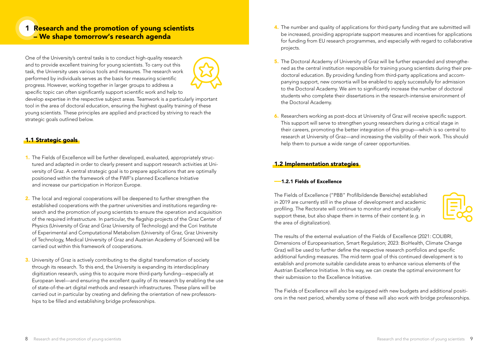# 1 Research and the promotion of young scientists – We shape tomorrow's research agenda

One of the University's central tasks is to conduct high-quality research and to provide excellent training for young scientists. To carry out this task, the University uses various tools and measures. The research work performed by individuals serves as the basis for measuring scientific progress. However, working together in larger groups to address a specific topic can often significantly support scientific work and help to



develop expertise in the respective subject areas. Teamwork is a particularly important tool in the area of doctoral education, ensuring the highest quality training of these young scientists. These principles are applied and practiced by striving to reach the strategic goals outlined below.

# 1.1 Strategic goals

- 1. The Fields of Excellence will be further developed, evaluated, appropriately structured and adapted in order to clearly present and support research activities at University of Graz. A central strategic goal is to prepare applications that are optimally positioned within the framework of the FWF's planned Excellence Initiative and increase our participation in Horizon Europe.
- 2. The local and regional cooperations will be deepened to further strengthen the established cooperations with the partner universities and institutions regarding research and the promotion of young scientists to ensure the operation and acquisition of the required infrastructure. In particular, the flagship projects of the Graz Center of Physics (University of Graz and Graz University of Technology) and the Cori Institute of Experimental and Computational Metabolism (University of Graz, Graz University of Technology, Medical University of Graz and Austrian Academy of Sciences) will be carried out within this framework of cooperations.
- 3. University of Graz is actively contributing to the digital transformation of society through its research. To this end, the University is expanding its interdisciplinary digitization research, using this to acquire more third-party funding—especially at European level—and ensuring the excellent quality of its research by enabling the use of state-of-the-art digital methods and research infrastructures. These plans will be carried out in particular by creating and defining the orientation of new professorships to be filled and establishing bridge professorships.
- 4. The number and quality of applications for third-party funding that are submitted will be increased, providing appropriate support measures and incentives for applications for funding from EU research programmes, and especially with regard to collaborative projects.
- 5. The Doctoral Academy of University of Graz will be further expanded and strengthened as the central institution responsible for training young scientists during their predoctoral education. By providing funding from third-party applications and accompanying support, new consortia will be enabled to apply successfully for admission to the Doctoral Academy. We aim to significantly increase the number of doctoral students who complete their dissertations in the research-intensive environment of the Doctoral Academy.
- 6. Researchers working as post-docs at University of Graz will receive specific support. This support will serve to strengthen young researchers during a critical stage in their careers, promoting the better integration of this group—which is so central to research at University of Graz—and increasing the visibility of their work. This should help them to pursue a wide range of career opportunities.

# 1.2 Implementation strategies

# ––1.2.1 Fields of Excellence

The Fields of Excellence ("PBB" Profilbildende Bereiche) established in 2019 are currently still in the phase of development and academic profiling. The Rectorate will continue to monitor and emphatically support these, but also shape them in terms of their content (e.g. in the area of digitalization).



The results of the external evaluation of the Fields of Excellence (2021: COLIBRI, Dimensions of Europeanisation, Smart Regulation; 2023: BioHealth, Climate Change Graz) will be used to further define the respective research portfolios and specific additional funding measures. The mid-term goal of this continued development is to establish and promote suitable candidate areas to enhance various elements of the Austrian Excellence Initiative. In this way, we can create the optimal environment for their submission to the Excellence Initiative.

The Fields of Excellence will also be equipped with new budgets and additional positions in the next period, whereby some of these will also work with bridge professorships.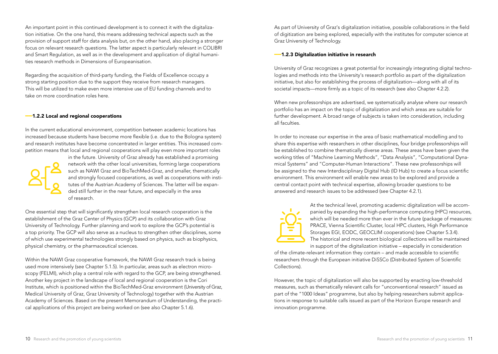An important point in this continued development is to connect it with the digitalization initiative. On the one hand, this means addressing technical aspects such as the provision of support staff for data analysis but, on the other hand, also placing a stronger focus on relevant research questions. The latter aspect is particularly relevant in COLIBRI and Smart Regulation, as well as in the development and application of digital humanities research methods in Dimensions of Europeanisation.

Regarding the acquisition of third-party funding, the Fields of Excellence occupy a strong starting position due to the support they receive from research managers. This will be utilized to make even more intensive use of EU funding channels and to take on more coordination roles here.

#### ––1.2.2 Local and regional cooperations

In the current educational environment, competition between academic locations has increased because students have become more flexible (i.e. due to the Bologna system) and research institutes have become concentrated in larger entities. This increased competition means that local and regional cooperations will play even more important roles



in the future. University of Graz already has established a promising network with the other local universities, forming large cooperations such as NAWI Graz and BioTechMed-Graz, and smaller, thematically and strongly focused cooperations, as well as cooperations with institutes of the Austrian Academy of Sciences. The latter will be expanded still further in the near future, and especially in the area of research.

One essential step that will significantly strengthen local research cooperation is the establishment of the Graz Center of Physics (GCP) and its collaboration with Graz University of Technology. Further planning and work to explore the GCP's potential is a top priority. The GCP will also serve as a nucleus to strengthen other disciplines, some of which use experimental technologies strongly based on physics, such as biophysics, physical chemistry, or the pharmaceutical sciences.

Within the NAWI Graz cooperative framework, the NAWI Graz research track is being used more intensively (see Chapter 5.1.5). In particular, areas such as electron microscopy (FELMI), which play a central role with regard to the GCP, are being strengthened. Another key project in the landscape of local and regional cooperation is the Cori Institute, which is positioned within the BioTechMed-Graz environment (University of Graz, Medical University of Graz, Graz University of Technology) together with the Austrian Academy of Sciences. Based on the present Memorandum of Understanding, the practical applications of this project are being worked on (see also Chapter 5.1.6).

As part of University of Graz's digitalization initiative, possible collaborations in the field of digitization are being explored, especially with the institutes for computer science at Graz University of Technology.

#### ––1.2.3 Digitalization initiative in research

University of Graz recognizes a great potential for increasingly integrating digital technologies and methods into the University's research portfolio as part of the digitalization initiative, but also for establishing the process of digitalization—along with all of its societal impacts—more firmly as a topic of its research (see also Chapter 4.2.2).

When new professorships are advertised, we systematically analyse where our research portfolio has an impact on the topic of digitalization and which areas are suitable for further development. A broad range of subjects is taken into consideration, including all faculties.

In order to increase our expertise in the area of basic mathematical modelling and to share this expertise with researchers in other disciplines, four bridge professorships will be established to combine thematically diverse areas. These areas have been given the working titles of "Machine Learning Methods", "Data Analysis", "Computational Dynamical Systems" and "Computer-Human Interactions". These new professorships will be assigned to the new Interdisciplinary Digital Hub (ID Hub) to create a focus scientific environment. This environment will enable new areas to be explored and provide a central contact point with technical expertise, allowing broader questions to be answered and research issues to be addressed (see Chapter 4.2.1).



At the technical level, promoting academic digitalization will be accompanied by expanding the high-performance computing (HPC) resources, which will be needed more than ever in the future (package of measures: PRACE, Vienna Scientific Cluster, local HPC clusters, High Performance Storages EGI, EODC, GEOCLIM cooperations) (see Chapter 5.3.4). The historical and more recent biological collections will be maintained in support of the digitalization initiative – especially in consideration

of the climate-relevant information they contain – and made accessible to scientific researchers through the European initiative DiSSCo (Distributed System of Scientific Collections).

However, the topic of digitalization will also be supported by enacting low-threshold measures, such as thematically relevant calls for "unconventional research" issued as part of the "1000 Ideas" programme, but also by helping researchers submit applications in response to suitable calls issued as part of the Horizon Europe research and innovation programme.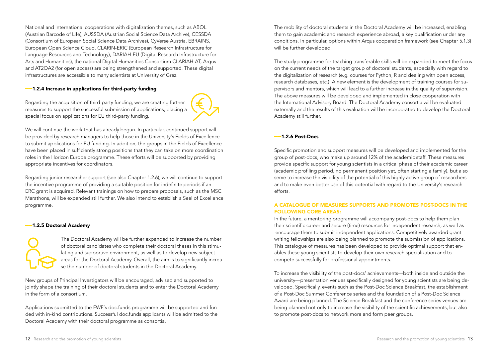National and international cooperations with digitalization themes, such as ABOL (Austrian Barcode of Life), AUSSDA (Austrian Social Science Data Archive), CESSDA (Consortium of European Social Science Data Archives), CyVerse Austria, EBRAINS, European Open Science Cloud, CLARIN-ERIC (European Research Infrastructure for Language Resources and Technology), DARIAH-EU (Digital Research Infrastructure for Arts and Humanities), the national Digital Humanities Consortium CLARIAH-AT, Arqus and AT2OA2 (for open access) are being strengthened and supported. These digital infrastructures are accessible to many scientists at University of Graz.

#### ––1.2.4 Increase in applications for third-party funding

Regarding the acquisition of third-party funding, we are creating further measures to support the successful submission of applications, placing a special focus on applications for EU third-party funding.



We will continue the work that has already begun. In particular, continued support will be provided by research managers to help those in the University's Fields of Excellence to submit applications for EU funding. In addition, the groups in the Fields of Excellence have been placed in sufficiently strong positions that they can take on more coordination roles in the Horizon Europe programme. These efforts will be supported by providing appropriate incentives for coordinators.

Regarding junior researcher support (see also Chapter 1.2.6), we will continue to support the incentive programme of providing a suitable position for indefinite periods if an ERC grant is acquired. Relevant trainings on how to prepare proposals, such as the MSC Marathons, will be expanded still further. We also intend to establish a Seal of Excellence programme.

#### ––1.2.5 Doctoral Academy

The Doctoral Academy will be further expanded to increase the number of doctoral candidates who complete their doctoral theses in this stimulating and supportive environment, as well as to develop new subject areas for the Doctoral Academy. Overall, the aim is to significantly increase the number of doctoral students in the Doctoral Academy.

New groups of Principal Investigators will be encouraged, advised and supported to jointly shape the training of their doctoral students and to enter the Doctoral Academy in the form of a consortium.

Applications submitted to the FWF's doc.funds programme will be supported and funded with in-kind contributions. Successful doc.funds applicants will be admitted to the Doctoral Academy with their doctoral programme as consortia.

The mobility of doctoral students in the Doctoral Academy will be increased, enabling them to gain academic and research experience abroad, a key qualification under any conditions. In particular, options within Arqus cooperation framework (see Chapter 5.1.3) will be further developed.

The study programme for teaching transferable skills will be expanded to meet the focus on the current needs of the target group of doctoral students, especially with regard to the digitalization of research (e.g. courses for Python, R and dealing with open access, research databases, etc.). A new element is the development of training courses for supervisors and mentors, which will lead to a further increase in the quality of supervision. The above measures will be developed and implemented in close cooperation with the International Advisory Board. The Doctoral Academy consortia will be evaluated externally and the results of this evaluation will be incorporated to develop the Doctoral Academy still further.

### ––1.2.6 Post-Docs

Specific promotion and support measures will be developed and implemented for the group of post-docs, who make up around 12% of the academic staff. These measures provide specific support for young scientists in a critical phase of their academic career (academic profiling period, no permanent position yet, often starting a family), but also serve to increase the visibility of the potential of this highly active group of researchers and to make even better use of this potential with regard to the University's research efforts.

### A CATALOGUE OF MEASURES SUPPORTS AND PROMOTES POST-DOCS IN THE FOLLOWING CORE AREAS:

In the future, a mentoring programme will accompany post-docs to help them plan their scientific career and secure (time) resources for independent research, as well as encourage them to submit independent applications. Competitively awarded grantwriting fellowships are also being planned to promote the submission of applications. This catalogue of measures has been developed to provide optimal support that enables these young scientists to develop their own research specialization and to compete successfully for professional appointments.

To increase the visibility of the post-docs' achievements—both inside and outside the university—presentation venues specifically designed for young scientists are being developed. Specifically, events such as the Post-Doc Science Breakfast, the establishment of a Post-Doc Summer Conference series and the foundation of a Post-Doc Science Award are being planned. The Science Breakfast and the conference series venues are being planned not only to increase the visibility of the scientific achievements, but also to promote post-docs to network more and form peer groups.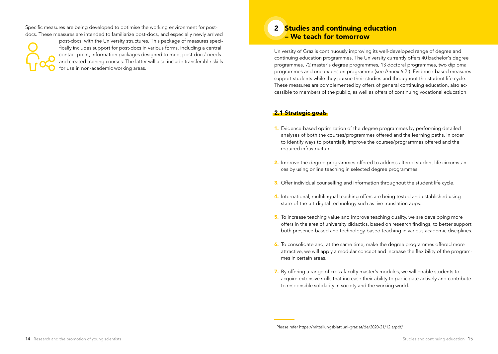Specific measures are being developed to optimise the working environment for postdocs. These measures are intended to familiarize post-docs, and especially newly arrived



post-docs, with the University structures. This package of measures specifically includes support for post-docs in various forms, including a central contact point, information packages designed to meet post-docs' needs and created training courses. The latter will also include transferable skills for use in non-academic working areas.

# 2 Studies and continuing education – We teach for tomorrow

University of Graz is continuously improving its well-developed range of degree and continuing education programmes. The University currently offers 40 bachelor's degree programmes, 72 master's degree programmes, 13 doctoral programmes, two diploma programmes and one extension programme (see Annex 6.21). Evidence-based measures support students while they pursue their studies and throughout the student life cycle. These measures are complemented by offers of general continuing education, also accessible to members of the public, as well as offers of continuing vocational education.

# 2.1 Strategic goals

- 1. Evidence-based optimization of the degree programmes by performing detailed analyses of both the courses/programmes offered and the learning paths, in order to identify ways to potentially improve the courses/programmes offered and the required infrastructure.
- 2. Improve the degree programmes offered to address altered student life circumstances by using online teaching in selected degree programmes.
- 3. Offer individual counselling and information throughout the student life cycle.
- 4. International, multilingual teaching offers are being tested and established using state-of-the-art digital technology such as live translation apps.
- 5. To increase teaching value and improve teaching quality, we are developing more offers in the area of university didactics, based on research findings, to better support both presence-based and technology-based teaching in various academic disciplines.
- 6. To consolidate and, at the same time, make the degree programmes offered more attractive, we will apply a modular concept and increase the flexibility of the programmes in certain areas.
- 7. By offering a range of cross-faculty master's modules, we will enable students to acquire extensive skills that increase their ability to participate actively and contribute to responsible solidarity in society and the working world.

<sup>1</sup> Please refer https://mitteilungsblatt.uni-graz.at/de/2020-21/12.a/pdf/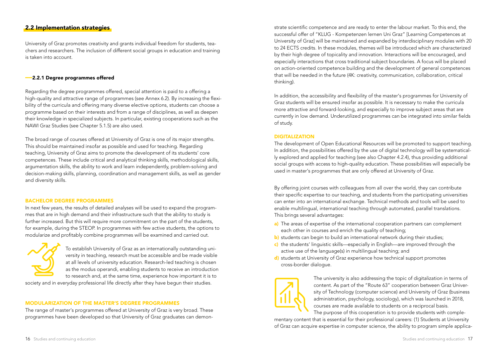# 2.2 Implementation strategies

University of Graz promotes creativity and grants individual freedom for students, teachers and researchers. The inclusion of different social groups in education and training is taken into account.

#### ––2.2.1 Degree programmes offered

Regarding the degree programmes offered, special attention is paid to a offering a high-quality and attractive range of programmes (see Annex 6.2). By increasing the flexibility of the curricula and offering many diverse elective options, students can choose a programme based on their interests and from a range of disciplines, as well as deepen their knowledge in specialized subjects. In particular, existing cooperations such as the NAWI Graz Studies (see Chapter 5.1.5) are also used.

The broad range of courses offered at University of Graz is one of its major strengths. This should be maintained insofar as possible and used for teaching. Regarding teaching, University of Graz aims to promote the development of its students' core competences. These include critical and analytical thinking skills, methodological skills, argumentation skills, the ability to work and learn independently, problem-solving and decision-making skills, planning, coordination and management skills, as well as gender and diversity skills.

#### BACHELOR DEGREE PROGRAMMES

In next few years, the results of detailed analyses will be used to expand the programmes that are in high demand and their infrastructure such that the ability to study is further increased. But this will require more commitment on the part of the students, for example, during the STEOP. In programmes with few active students, the options to modularize and profitably combine programmes will be examined and carried out.



To establish University of Graz as an internationally outstanding university in teaching, research must be accessible and be made visible at all levels of university education. Research-led teaching is chosen as the modus operandi, enabling students to receive an introduction to research and, at the same time, experience how important it is to

society and in everyday professional life directly after they have begun their studies.

#### MODULARIZATION OF THE MASTER'S DEGREE PROGRAMMES

The range of master's programmes offered at University of Graz is very broad. These programmes have been developed so that University of Graz graduates can demonstrate scientific competence and are ready to enter the labour market. To this end, the successful offer of "KLUG - Kompetenzen lernen Uni Graz" [Learning Competences at University of Graz] will be maintained and expanded by interdisciplinary modules with 20 to 24 ECTS credits. In these modules, themes will be introduced which are characterized by their high degree of topicality and innovation. Interactions will be encouraged, and especially interactions that cross traditional subject boundaries. A focus will be placed on action-oriented competence building and the development of general competences that will be needed in the future (4K: creativity, communication, collaboration, critical thinking).

In addition, the accessibility and flexibility of the master's programmes for University of Graz students will be ensured insofar as possible. It is necessary to make the curricula more attractive and forward-looking, and especially to improve subject areas that are currently in low demand. Underutilized programmes can be integrated into similar fields of study.

#### DIGITALIZATION

The development of Open Educational Resources will be promoted to support teaching. In addition, the possibilities offered by the use of digital technology will be systematically explored and applied for teaching (see also Chapter 4.2.4), thus providing additional social groups with access to high-quality education. These possibilities will especially be used in master's programmes that are only offered at University of Graz.

By offering joint courses with colleagues from all over the world, they can contribute their specific expertise to our teaching, and students from the participating universities can enter into an international exchange. Technical methods and tools will be used to enable multilingual, international teaching through automated, parallel translations. This brings several advantages:

- a) The areas of expertise of the international cooperation partners can complement each other in courses and enrich the quality of teaching;
- b) students can begin to build an international network during their studies;
- c) the students' linguistic skills—especially in English—are improved through the active use of the language(s) in multilingual teaching; and
- d) students at University of Graz experience how technical support promotes cross-border dialogue.



The university is also addressing the topic of digitalization in terms of content. As part of the "Route 63" cooperation between Graz University of Technology (computer science) and University of Graz (business administration, psychology, sociology), which was launched in 2018, courses are made available to students on a reciprocal basis.

The purpose of this cooperation is to provide students with complementary content that is essential for their professional careers: (1) Students at University of Graz can acquire expertise in computer science, the ability to program simple applica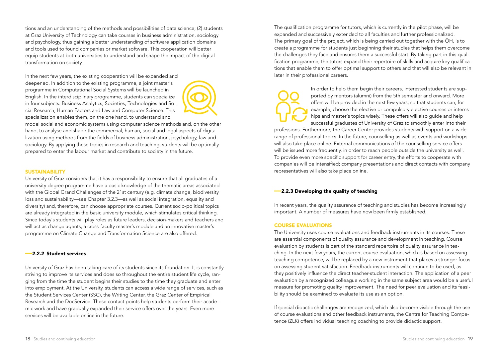tions and an understanding of the methods and possibilities of data science; (2) students at Graz University of Technology can take courses in business administration, sociology and psychology, thus gaining a better understanding of software application domains and tools used to found companies or market software. This cooperation will better equip students at both universities to understand and shape the impact of the digital transformation on society.

In the next few years, the existing cooperation will be expanded and deepened. In addition to the existing programme, a joint master's programme in Computational Social Systems will be launched in English. In the interdisciplinary programme, students can specialize in four subjects: Business Analytics, Societies, Technologies and Social Research, Human Factors and Law and Computer Science. This specialization enables them, on the one hand, to understand and



model social and economic systems using computer science methods and, on the other hand, to analyse and shape the commercial, human, social and legal aspects of digitalization using methods from the fields of business administration, psychology, law and sociology. By applying these topics in research and teaching, students will be optimally prepared to enter the labour market and contribute to society in the future.

#### **SUSTAINABILITY**

University of Graz considers that it has a responsibility to ensure that all graduates of a university degree programme have a basic knowledge of the thematic areas associated with the Global Grand Challenges of the 21st century (e.g. climate change, biodiversity loss and sustainability—see Chapter 3.2.3—as well as social integration, equality and diversity) and, therefore, can choose appropriate courses. Current socio-political topics are already integrated in the basic university module, which stimulates critical thinking. Since today's students will play roles as future leaders, decision-makers and teachers and will act as change agents, a cross-faculty master's module and an innovative master's programme on Climate Change and Transformation Science are also offered.

#### ––2.2.2 Student services

University of Graz has been taking care of its students since its foundation. It is constantly striving to improve its services and does so throughout the entire student life cycle, ranging from the time the student begins their studies to the time they graduate and enter into employment. At the University, students can access a wide range of services, such as the Student Services Center (SSC), the Writing Center, the Graz Center of Empirical Research and the DocService. These contact points help students perform their academic work and have gradually expanded their service offers over the years. Even more services will be available online in the future.

The qualification programme for tutors, which is currently in the pilot phase, will be expanded and successively extended to all faculties and further professionalized. The primary goal of the project, which is being carried out together with the ÖH, is to create a programme for students just beginning their studies that helps them overcome the challenges they face and ensures them a successful start. By taking part in this qualification programme, the tutors expand their repertoire of skills and acquire key qualifications that enable them to offer optimal support to others and that will also be relevant in later in their professional careers.

> In order to help them begin their careers, interested students are supported by mentors (alumni) from the 5th semester and onward. More offers will be provided in the next few years, so that students can, for example, choose the elective or compulsory elective courses or internships and master's topics wisely. These offers will also guide and help successful graduates of University of Graz to smoothly enter into their

professions. Furthermore, the Career Center provides students with support on a wide range of professional topics. In the future, counselling as well as events and workshops will also take place online. External communications of the counselling service offers will be issued more frequently, in order to reach people outside the university as well. To provide even more specific support for career entry, the efforts to cooperate with companies will be intensified; company presentations and direct contacts with company representatives will also take place online.

#### ––2.2.3 Developing the quality of teaching

In recent years, the quality assurance of teaching and studies has become increasingly important. A number of measures have now been firmly established.

#### COURSE EVALUATIONS

The University uses course evaluations and feedback instruments in its courses. These are essential components of quality assurance and development in teaching. Course evaluation by students is part of the standard repertoire of quality assurance in teaching. In the next few years, the current course evaluation, which is based on assessing teaching competence, will be replaced by a new instrument that places a stronger focus on assessing student satisfaction. Feedback instruments will continue to be used, as they positively influence the direct teacher-student interaction. The application of a peer evaluation by a recognized colleague working in the same subject area would be a useful measure for promoting quality improvement. The need for peer evaluation and its feasibility should be examined to evaluate its use as an option.

If special didactic challenges are recognized, which also become visible through the use of course evaluations and other feedback instruments, the Centre for Teaching Competence (ZLK) offers individual teaching coaching to provide didactic support.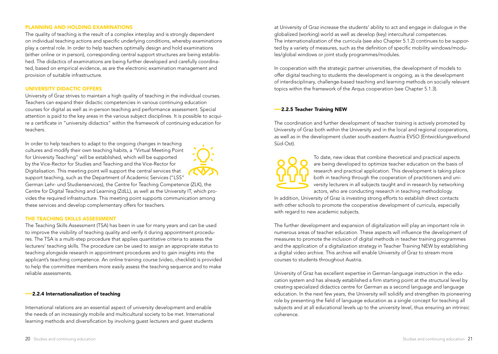#### PLANNING AND HOLDING EXAMINATIONS

The quality of teaching is the result of a complex interplay and is strongly dependent on individual teaching actions and specific underlying conditions, whereby examinations play a central role. In order to help teachers optimally design and hold examinations (either online or in person), corresponding central support structures are being established. The didactics of examinations are being further developed and carefully coordinated, based on empirical evidence, as are the electronic examination management and provision of suitable infrastructure.

#### UNIVERSITY DIDACTIC OFFERS

University of Graz strives to maintain a high quality of teaching in the individual courses. Teachers can expand their didactic competencies in various continuing education courses for digital as well as in-person teaching and performance assessment. Special attention is paid to the key areas in the various subject disciplines. It is possible to acquire a certificate in "university didactics" within the framework of continuing education for teachers.

In order to help teachers to adapt to the ongoing changes in teaching cultures and modify their own teaching habits, a "Virtual Meeting Point for University Teaching" will be established, which will be supported by the Vice-Rector for Studies and Teaching and the Vice-Rector for Digitalisation. This meeting point will support the central services that support teaching, such as the Department of Academic Services ("LSS"



German Lehr- und Studienservices), the Centre for Teaching Competence (ZLK), the Centre for Digital Teaching and Learning (ZdLL), as well as the University IT, which provides the required infrastructure. This meeting point supports communication among these services and develop complementary offers for teachers.

#### THE TEACHING SKILLS ASSESSMENT

The Teaching Skills Assessment (TSA) has been in use for many years and can be used to improve the visibility of teaching quality and verify it during appointment procedures. The TSA is a multi-step procedure that applies quantitative criteria to assess the lecturers' teaching skills. The procedure can be used to assign an appropriate status to teaching alongside research in appointment procedures and to gain insights into the applicant's teaching competence. An online training course (video, checklist) is provided to help the committee members more easily assess the teaching sequence and to make reliable assessments.

#### ––2.2.4 Internationalization of teaching

International relations are an essential aspect of university development and enable the needs of an increasingly mobile and multicultural society to be met. International learning methods and diversification by involving guest lecturers and guest students

at University of Graz increase the students' ability to act and engage in dialogue in the globalized (working) world as well as develop (key) intercultural competences. The internationalization of the curricula (see also Chapter 5.1.2) continues to be supported by a variety of measures, such as the definition of specific mobility windows/modules/global windows or joint study programmes/modules.

In cooperation with the strategic partner universities, the development of models to offer digital teaching to students the development is ongoing, as is the development of interdisciplinary, challenge-based teaching and learning methods on socially relevant topics within the framework of the Arqus cooperation (see Chapter 5.1.3).

#### ––2.2.5 Teacher Training NEW

The coordination and further development of teacher training is actively promoted by University of Graz both within the University and in the local and regional cooperations, as well as in the development cluster south-eastern Austria EVSO (Entwicklungsverbund Süd-Ost).



To date, new ideas that combine theoretical and practical aspects are being developed to optimize teacher education on the basis of research and practical application. This development is taking place both in teaching through the cooperation of practitioners and university lecturers in all subjects taught and in research by networking actors, who are conducting research in teaching methodology.

In addition, University of Graz is investing strong efforts to establish direct contacts with other schools to promote the cooperative development of curricula, especially with regard to new academic subjects.

The further development and expansion of digitalization will play an important role in numerous areas of teacher education. These aspects will influence the development of measures to promote the inclusion of digital methods in teacher training programmes and the application of a digitalization strategy in Teacher Training NEW by establishing a digital video archive. This archive will enable University of Graz to stream more courses to students throughout Austria.

University of Graz has excellent expertise in German-language instruction in the education system and has already established a firm starting point at the structural level by creating specialized didactics centre for German as a second language and language education. In the next few years, the University will solidify and strengthen its pioneering role by presenting the field of language education as a single concept for teaching all subjects and at all educational levels up to the university level, thus ensuring an intrinsic coherence.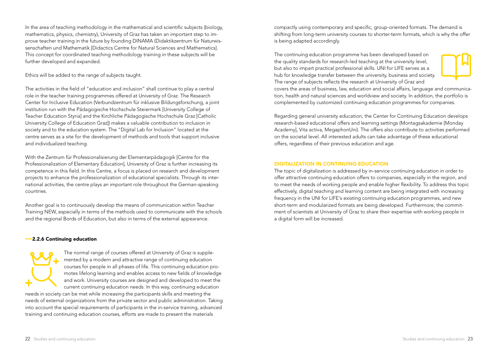In the area of teaching methodology in the mathematical and scientific subjects (biology, mathematics, physics, chemistry), University of Graz has taken an important step to improve teacher training in the future by founding DINAMA (Didaktikzentrum für Naturwissenschaften und Mathematik [Didactics Centre for Natural Sciences and Mathematics]. This concept for coordinated teaching methodology training in these subjects will be further developed and expanded.

Ethics will be added to the range of subjects taught.

The activities in the field of "education and inclusion" shall continue to play a central role in the teacher training programmes offered at University of Graz. The Research Center for Inclusive Education (Verbundzentrum für inklusive Bildungsforschung, a joint institution run with the Pädagogische Hochschule Steiermark [University College of Teacher Education Styria] and the Kirchliche Pädagogische Hochschule Graz [Catholic University College of Education Graz]) makes a valuable contribution to inclusion in society and to the education system. The "Digital Lab for Inclusion" located at the centre serves as a site for the development of methods and tools that support inclusive and individualized teaching.

With the Zentrum für Professionalisierung der Elementarpädagogik [Centre for the Professionalization of Elementary Education], University of Graz is further increasing its competence in this field. In this Centre, a focus is placed on research and development projects to enhance the professionalization of educational specialists. Through its international activities, the centre plays an important role throughout the German-speaking countries.

Another goal is to continuously develop the means of communication within Teacher Training NEW, especially in terms of the methods used to communicate with the schools and the regional Bords of Education, but also in terms of the external appearance.

#### ––2.2.6 Continuing education

The normal range of courses offered at University of Graz is supplemented by a modern and attractive range of continuing education courses for people in all phases of life. This continuing education promotes lifelong learning and enables access to new fields of knowledge and work. University courses are designed and developed to meet the current continuing education needs. In this way, continuing education needs in society can be met while increasing the participants skills and meeting the

needs of external organizations from the private sector and public administration. Taking into account the special requirements of participants in the in-service training, advanced training and continuing education courses, efforts are made to present the materials

compactly using contemporary and specific, group-oriented formats. The demand is shifting from long-term university courses to shorter-term formats, which is why the offer is being adapted accordingly.

The continuing education programme has been developed based on the quality standards for research-led teaching at the university level, but also to impart practical professional skills. UNI for LIFE serves as a hub for knowledge transfer between the university, business and society. The range of subjects reflects the research at University of Graz and



covers the areas of business, law, education and social affairs, language and communication, health and natural sciences and worldview and society. In addition, the portfolio is complemented by customized continuing education programmes for companies.

Regarding general university education, the Center for Continuing Education develops research-based educational offers and learning settings (Montagsakademie [Monday Academy], Vita activa, MegaphonUni). The offers also contribute to activities performed on the societal level. All interested adults can take advantage of these educational offers, regardless of their previous education and age.

#### DIGITALIZATION IN CONTINUING EDUCATION

The topic of digitalization is addressed by in-service continuing education in order to offer attractive continuing education offers to companies, especially in the region, and to meet the needs of working people and enable higher flexibility. To address this topic effectively, digital teaching and learning content are being integrated with increasing frequency in the UNI for LIFE's existing continuing education programmes, and new short-term and modularized formats are being developed. Furthermore, the commitment of scientists at University of Graz to share their expertise with working people in a digital form will be increased.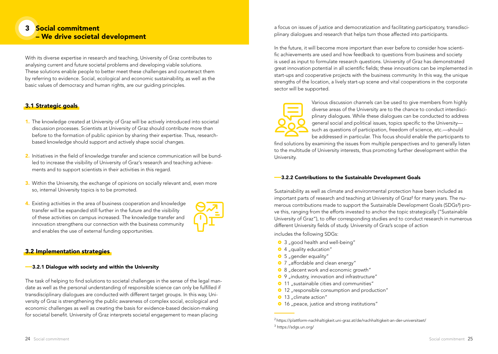# 3 Social commitment – We drive societal development

With its diverse expertise in research and teaching, University of Graz contributes to analysing current and future societal problems and developing viable solutions. These solutions enable people to better meet these challenges and counteract them by referring to evidence. Social, ecological and economic sustainability, as well as the basic values of democracy and human rights, are our guiding principles.

# 3.1 Strategic goals

- 1. The knowledge created at University of Graz will be actively introduced into societal discussion processes. Scientists at University of Graz should contribute more than before to the formation of public opinion by sharing their expertise. Thus, researchbased knowledge should support and actively shape social changes.
- 2. Initiatives in the field of knowledge transfer and science communication will be bundled to increase the visibility of University of Graz's research and teaching achievements and to support scientists in their activities in this regard.
- 3. Within the University, the exchange of opinions on socially relevant and, even more so, internal University topics is to be promoted.
- 4. Existing activities in the area of business cooperation and knowledge transfer will be expanded still further in the future and the visibility of these activities on campus increased. The knowledge transfer and innovation strengthens our connection with the business community and enables the use of external funding opportunities.



# 3.2 Implementation strategies

#### ––3.2.1 Dialogue with society and within the University

The task of helping to find solutions to societal challenges in the sense of the legal mandate as well as the personal understanding of responsible science can only be fulfilled if transdisciplinary dialogues are conducted with different target groups. In this way, University of Graz is strengthening the public awareness of complex social, ecological and economic challenges as well as creating the basis for evidence-based decision-making for societal benefit. University of Graz interprets societal engagement to mean placing

a focus on issues of justice and democratization and facilitating participatory, transdisciplinary dialogues and research that helps turn those affected into participants.

In the future, it will become more important than ever before to consider how scientific achievements are used and how feedback to questions from business and society is used as input to formulate research questions. University of Graz has demonstrated great innovation potential in all scientific fields; these innovations can be implemented in start-ups and cooperative projects with the business community. In this way, the unique strengths of the location, a lively start-up scene and vital cooperations in the corporate sector will be supported.



Various discussion channels can be used to give members from highly diverse areas of the University are to the chance to conduct interdisciplinary dialogues. While these dialogues can be conducted to address general social and political issues, topics specific to the University such as questions of participation, freedom of science, etc.—should

be addressed in particular. This focus should enable the participants to find solutions by examining the issues from multiple perspectives and to generally listen to the multitude of University interests, thus promoting further development within the University.

#### ––3.2.2 Contributions to the Sustainable Development Goals

Sustainability as well as climate and environmental protection have been included as important parts of research and teaching at University of Graz<sup>2</sup> for many years. The numerous contributions made to support the Sustainable Development Goals (SDGs<sup>3</sup>) prove this, ranging from the efforts invested to anchor the topic strategically ("Sustainable University of Graz"), to offer corresponding studies and to conduct research in numerous different University fields of study. University of Graz's scope of action

includes the following SDGs:

- <sup>o</sup> 3 "good health and well-being"
- $\bullet$  4 "quality education"
- $\bullet$  5 "gender equality"
- 7 "affordable and clean energy"
- <sup>o</sup> 8 "decent work and economic growth"
- 9 .industry, innovation and infrastructure"
- <sup>o</sup> 11 sustainable cities and communities"
- 12 "responsible consumption and production"
- <sup>o</sup> 13 "climate action"
- <sup>o</sup> 16 "peace, justice and strong institutions"

<sup>2</sup> https://plattform-nachhaltigkeit.uni-graz.at/de/nachhaltigkeit-an-der-universitaet/ <sup>3</sup> https://sdgs.un.org/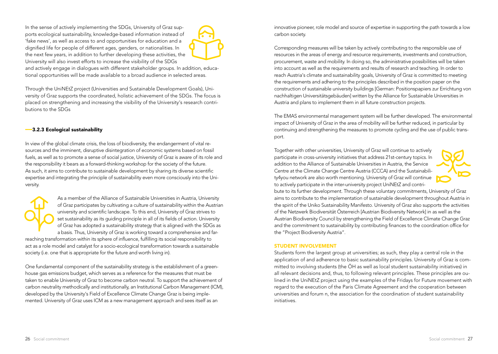In the sense of actively implementing the SDGs, University of Graz supports ecological sustainability, knowledge-based information instead of 'fake news', as well as access to and opportunities for education and a dignified life for people of different ages, genders, or nationalities. In the next few years, in addition to further developing these activities, the University will also invest efforts to increase the visibility of the SDGs



and actively engage in dialogues with different stakeholder groups. In addition, educational opportunities will be made available to a broad audience in selected areas.

Through the UniNEtZ project (Universities and Sustainable Development Goals), University of Graz supports the coordinated, holistic achievement of the SDGs. The focus is placed on strengthening and increasing the visibility of the University's research contributions to the SDGs

### ––3.2.3 Ecological sustainability

In view of the global climate crisis, the loss of biodiversity, the endangerment of vital resources and the imminent, disruptive disintegration of economic systems based on fossil fuels, as well as to promote a sense of social justice, University of Graz is aware of its role and the responsibility it bears as a forward-thinking workshop for the society of the future. As such, it aims to contribute to sustainable development by sharing its diverse scientific expertise and integrating the principle of sustainability even more consciously into the University.



As a member of the Alliance of Sustainable Universities in Austria, University of Graz participates by cultivating a culture of sustainability within the Austrian university and scientific landscape. To this end, University of Graz strives to set sustainability as its guiding principle in all of its fields of action. University of Graz has adopted a sustainability strategy that is aligned with the SDGs as a basis. Thus, University of Graz is working toward a comprehensive and far-

reaching transformation within its sphere of influence, fulfilling its social responsibility to act as a role model and catalyst for a socio-ecological transformation towards a sustainable society (i.e. one that is appropriate for the future and worth living in).

One fundamental component of the sustainability strategy is the establishment of a greenhouse gas emissions budget, which serves as a reference for the measures that must be taken to enable University of Graz to become carbon neutral. To support the achievement of carbon neutrality methodically and institutionally, an Institutional Carbon Management (ICM), developed by the University's Field of Excellence Climate Change Graz is being implemented. University of Graz uses ICM as a new management approach and sees itself as an

innovative pioneer, role model and source of expertise in supporting the path towards a low carbon society.

Corresponding measures will be taken by actively contributing to the responsible use of resources in the areas of energy and resource requirements, investments and construction, procurement, waste and mobility. In doing so, the administrative possibilities will be taken into account as well as the requirements and results of research and teaching. In order to reach Austria's climate and sustainability goals, University of Graz is committed to meeting the requirements and adhering to the principles described in the position paper on the construction of sustainable university buildings [German: Positionspapiers zur Errichtung von nachhaltigen Universitätsgebäuden] written by the Alliance for Sustainable Universities in Austria and plans to implement them in all future construction projects.

The EMAS environmental management system will be further developed. The environmental impact of University of Graz in the area of mobility will be further reduced, in particular by continuing and strengthening the measures to promote cycling and the use of public transport.

Together with other universities, University of Graz will continue to actively participate in cross-university initiatives that address 21st-century topics. In addition to the Alliance of Sustainable Universities in Austria, the Service Centre at the Climate Change Centre Austria (CCCA) and the Sustainability4you network are also worth mentioning. University of Graz will continue to actively participate in the inter-university project UniNEtZ and contri-



bute to its further development. Through these voluntary commitments, University of Graz aims to contribute to the implementation of sustainable development throughout Austria in the spirit of the Uniko Sustainability Manifesto. University of Graz also supports the activities of the Netzwerk Biodiversität Österreich [Austrian Biodiversity Network] in as well as the Austrian Biodiversity Council by strengthening the Field of Excellence Climate Change Graz and the commitment to sustainability by contributing finances to the coordination office for the "Project Biodiversity Austria".

#### STUDENT INVOLVEMENT

Students form the largest group at universities; as such, they play a central role in the application of and adherence to basic sustainability principles. University of Graz is committed to involving students (the ÖH as well as local student sustainability initiatives) in all relevant decisions and, thus, to following relevant principles. These principles are oulined in the UniNEtZ project using the examples of the Fridays for Future movement with regard to the execution of the Paris Climate Agreement and the cooperation between universities and forum n, the association for the coordination of student sustainability initiatives.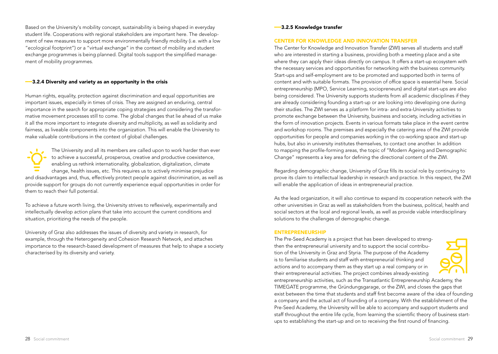Based on the University's mobility concept, sustainability is being shaped in everyday student life. Cooperations with regional stakeholders are important here. The development of new measures to support more environmentally friendly mobility (i.e. with a low "ecological footprint") or a "virtual exchange" in the context of mobility and student exchange programmes is being planned. Digital tools support the simplified management of mobility programmes.

#### ––3.2.4 Diversity and variety as an opportunity in the crisis

Human rights, equality, protection against discrimination and equal opportunities are important issues, especially in times of crisis. They are assigned an enduring, central importance in the search for appropriate coping strategies and considering the transformative movement processes still to come. The global changes that lie ahead of us make it all the more important to integrate diversity and multiplicity, as well as solidarity and fairness, as liveable components into the organization. This will enable the University to make valuable contributions in the context of global challenges.

The University and all its members are called upon to work harder than ever to achieve a successful, prosperous, creative and productive coexistence, enabling us rethink internationality, globalization, digitalization, climate change, health issues, etc. This requires us to actively minimise prejudice and disadvantages and, thus, effectively protect people against discrimination, as well as provide support for groups do not currently experience equal opportunities in order for them to reach their full potential.

To achieve a future worth living, the University strives to reflexively, experimentally and intellectually develop action plans that take into account the current conditions and situation, prioritizing the needs of the people.

University of Graz also addresses the issues of diversity and variety in research, for example, through the Heterogeneity and Cohesion Research Network, and attaches importance to the research-based development of measures that help to shape a society characterised by its diversity and variety.

#### ––3.2.5 Knowledge transfer

#### CENTER FOR KNOWLEDGE AND INNOVATION TRANSFER

The Center for Knowledge and Innovation Transfer (ZWI) serves all students and staff who are interested in starting a business, providing both a meeting place and a site where they can apply their ideas directly on campus. It offers a start-up ecosystem with the necessary services and opportunities for networking with the business community. Start-ups and self-employment are to be promoted and supported both in terms of content and with suitable formats. The provision of office space is essential here. Social entrepreneurship (MPO, Service Learning, sociopreneurs) and digital start-ups are also being considered. The University supports students from all academic disciplines if they are already considering founding a start-up or are looking into developing one during their studies. The ZWI serves as a platform for intra- and extra-University activities to promote exchange between the University, business and society, including activities in the form of innovation projects. Events in various formats take place in the event centre and workshop rooms. The premises and especially the catering area of the ZWI provide opportunities for people and companies working in the co-working space and start-up hubs, but also in university institutes themselves, to contact one another. In addition to mapping the profile-forming areas, the topic of "Modern Ageing and Demographic Change" represents a key area for defining the directional content of the ZWI.

Regarding demographic change, University of Graz fills its social role by continuing to prove its claim to intellectual leadership in research and practice. In this respect, the ZWI will enable the application of ideas in entrepreneurial practice.

As the lead organization, it will also continue to expand its cooperation network with the other universities in Graz as well as stakeholders from the business, political, health and social sectors at the local and regional levels, as well as provide viable interdisciplinary solutions to the challenges of demographic change.

#### ENTREPRENEURSHIP

The Pre-Seed Academy is a project that has been developed to strengthen the entrepreneurial university and to support the social contribution of the University in Graz and Styria. The purpose of the Academy is to familiarise students and staff with entrepreneurial thinking and actions and to accompany them as they start up a real company or in their entrepreneurial activities. The project combines already-existing



entrepreneurship activities, such as the Transatlantic Entrepreneurship Academy, the TIMEGATE programme, the Gründungsgarage, or the ZWI, and closes the gaps that exist between the time that students and staff first become aware of the idea of founding a company and the actual act of founding of a company. With the establishment of the Pre-Seed Academy, the University will be able to accompany and support students and staff throughout the entire life cycle, from learning the scientific theory of business startups to establishing the start-up and on to receiving the first round of financing.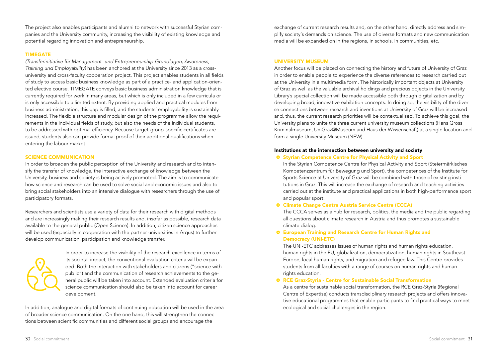The project also enables participants and alumni to network with successful Styrian companies and the University community, increasing the visibility of existing knowledge and potential regarding innovation and entrepreneurship.

#### TIMEGATE

*(Transferinitiative für Management- und Entrepreneurship-Grundlagen, Awareness, Training und Employability)* has been anchored at the University since 2013 as a crossuniversity and cross-faculty cooperation project. This project enables students in all fields of study to access basic business knowledge as part of a practice- and application-oriented elective course. TIMEGATE conveys basic business administration knowledge that is currently required for work in many areas, but which is only included in a few curricula or is only accessible to a limited extent. By providing applied and practical modules from business administration, this gap is filled, and the students' employability is sustainably increased. The flexible structure and modular design of the programme allow the requirements in the individual fields of study, but also the needs of the individual students, to be addressed with optimal efficiency. Because target-group-specific certificates are issued, students also can provide formal proof of their additional qualifications when entering the labour market.

#### SCIENCE COMMUNICATION

In order to broaden the public perception of the University and research and to intensify the transfer of knowledge, the interactive exchange of knowledge between the University, business and society is being actively promoted. The aim is to communicate how science and research can be used to solve social and economic issues and also to bring social stakeholders into an intensive dialogue with researchers through the use of participatory formats.

Researchers and scientists use a variety of data for their research with digital methods and are increasingly making their research results and, insofar as possible, research data available to the general public (Open Science). In addition, citizen science approaches will be used (especially in cooperation with the partner universities in Arqus) to further develop communication, participation and knowledge transfer.



In order to increase the visibility of the research excellence in terms of its societal impact, the conventional evaluation criteria will be expanded. Both the interaction with stakeholders and citizens ("science with public") and the communication of research achievements to the general public will be taken into account. Extended evaluation criteria for science communication should also be taken into account for career development.

In addition, analogue and digital formats of continuing education will be used in the area of broader science communication. On the one hand, this will strengthen the connections between scientific communities and different social groups and encourage the

exchange of current research results and, on the other hand, directly address and simplify society's demands on science. The use of diverse formats and new communication media will be expanded on in the regions, in schools, in communities, etc.

#### UNIVERSITY MUSEUM

Another focus will be placed on connecting the history and future of University of Graz in order to enable people to experience the diverse references to research carried out at the University in a multimedia form. The historically important objects at University of Graz as well as the valuable archival holdings and precious objects in the University Library's special collection will be made accessible both through digitalization and by developing broad, innovative exhibition concepts. In doing so, the visibility of the diverse connections between research and inventions at University of Graz will be increased and, thus, the current research priorities will be contextualised. To achieve this goal, the University plans to unite the three current university museum collections (Hans Gross Kriminalmuseum, UniGraz@Museum and Haus der Wissenschaft) at a single location and form a single University Museum (NEW).

#### Institutions at the intersection between university and society

#### ~ Styrian Competence Centre for Physical Activity and Sport

In the Styrian Competence Centre for Physical Activity and Sport (Steiermärkisches Kompetenzzentrum für Bewegung und Sport), the competences of the Institute for Sports Science at University of Graz will be combined with those of existing institutions in Graz. This will increase the exchange of research and teaching activities carried out at the institute and practical applications in both high-performance sport and popular sport.

# ~ Climate Change Centre Austria Service Centre (CCCA)

The CCCA serves as a hub for research, politics, the media and the public regarding all questions about climate research in Austria and thus promotes a sustainable climate dialog.

# ~ European Training and Research Centre for Human Rights and Democracy (UNI-ETC)

The UNI-ETC addresses issues of human rights and human rights education, human rights in the EU, globalization, democratization, human rights in Southeast Europe, local human rights, and migration and refugee law. This Centre provides students from all faculties with a range of courses on human rights and human rights education.

#### ~ RCE Graz-Styria - Centre for Sustainable Social Transformation

As a centre for sustainable social transformation, the RCE Graz-Styria (Regional Centre of Expertise) conducts transdisciplinary research projects and offers innovative educational programmes that enable participants to find practical ways to meet ecological and social-challenges in the region.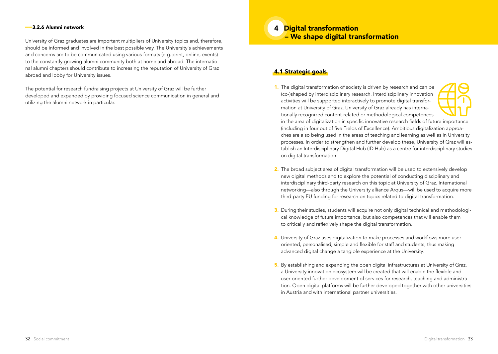#### ––3.2.6 Alumni network

University of Graz graduates are important multipliers of University topics and, therefore, should be informed and involved in the best possible way. The University's achievements and concerns are to be communicated using various formats (e.g. print, online, events) to the constantly growing alumni community both at home and abroad. The international alumni chapters should contribute to increasing the reputation of University of Graz abroad and lobby for University issues.

The potential for research fundraising projects at University of Graz will be further developed and expanded by providing focused science communication in general and utilizing the alumni network in particular.

4 Digital transformation – We shape digital transformation

# 4.1 Strategic goals

1. The digital transformation of society is driven by research and can be (co-)shaped by interdisciplinary research. Interdisciplinary innovation activities will be supported interactively to promote digital transformation at University of Graz. University of Graz already has internationally recognized content-related or methodological competences



in the area of digitalization in specific innovative research fields of future importance (including in four out of five Fields of Excellence). Ambitious digitalization approaches are also being used in the areas of teaching and learning as well as in University processes. In order to strengthen and further develop these, University of Graz will establish an Interdisciplinary Digital Hub (ID Hub) as a centre for interdisciplinary studies on digital transformation.

- 2. The broad subject area of digital transformation will be used to extensively develop new digital methods and to explore the potential of conducting disciplinary and interdisciplinary third-party research on this topic at University of Graz. International networking—also through the University alliance Arqus—will be used to acquire more third-party EU funding for research on topics related to digital transformation.
- 3. During their studies, students will acquire not only digital technical and methodological knowledge of future importance, but also competences that will enable them to critically and reflexively shape the digital transformation.
- 4. University of Graz uses digitalization to make processes and workflows more useroriented, personalised, simple and flexible for staff and students, thus making advanced digital change a tangible experience at the University.
- 5. By establishing and expanding the open digital infrastructures at University of Graz, a University innovation ecosystem will be created that will enable the flexible and user-oriented further development of services for research, teaching and administration. Open digital platforms will be further developed together with other universities in Austria and with international partner universities.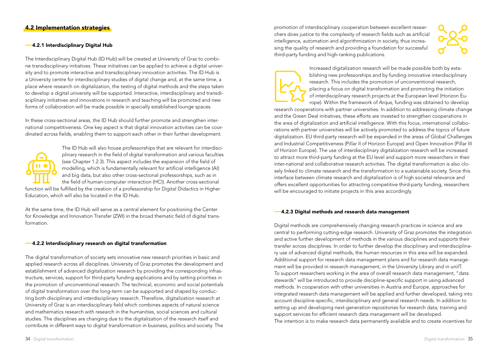#### ––4.2.1 Interdisciplinary Digital Hub

The Interdisciplinary Digital Hub (ID Hub) will be created at University of Graz to combine transdisciplinary initiatives. These initiatives can be applied to achieve a digital university and to promote interactive and transdisciplinary innovation activities. The ID Hub is a University centre for interdisciplinary studies of digital change and, at the same time, a place where research on digitalization, the testing of digital methods and the steps taken to develop a digital university will be supported. Interactive, interdisciplinary and transdisciplinary initiatives and innovations in research and teaching will be promoted and new forms of collaboration will be made possible in specially established lounge spaces.

In these cross-sectional areas, the ID Hub should further promote and strengthen international competitiveness. One key aspect is that digital innovation activities can be coordinated across fields, enabling them to support each other in their further development.



The ID Hub will also house professorships that are relevant for interdisciplinary research in the field of digital transformation and various faculties (see Chapter 1.2.3). This aspect includes the expansion of the field of modelling, which is fundamentally relevant for artificial intelligence (AI) and big data, but also other cross-sectional professorships, such as in the field of human-computer interaction (HCI). Another cross-sectional function will be fulfilled by the creation of a professorship for Digital Didactics in Higher

Education, which will also be located in the ID Hub.

At the same time, the ID Hub will serve as a central element for positioning the Center for Knowledge and Innovation Transfer (ZWI) in the broad thematic field of digital transformation.

#### ––4.2.2 Interdisciplinary research on digital transformation

The digital transformation of society sets innovative new research priorities in basic and applied research across all disciplines. University of Graz promotes the development and establishment of advanced digitalization research by providing the corresponding infrastructure, services, support for third-party funding applications and by setting priorities in the promotion of unconventional research. The technical, economic and social potentials of digital transformation over the long-term can be supported and shaped by conducting both disciplinary and interdisciplinary research. Therefore, digitalization research at University of Graz is an interdisciplinary field which combines aspects of natural science and mathematics research with research in the humanities, social sciences and cultural studies. The disciplines are changing due to the digitalization of the research itself and contribute in different ways to digital transformation in business, politics and society. The

promotion of interdisciplinary cooperation between excellent researchers does justice to the complexity of research fields such as artificial intelligence, automation and algorithmization in society, thus increasing the quality of research and providing a foundation for successful third-party funding and high-ranking publications.



Increased digitalization research will be made possible both by establishing new professorships and by funding innovative interdisciplinary research. This includes the promotion of unconventional research, placing a focus on digital transformation and promoting the initiation of interdisciplinary research projects at the European level (Horizon Europe). Within the framework of Arqus, funding was obtained to develop

research cooperations with partner universities. In addition to addressing climate change and the Green Deal initiatives, these efforts are invested to strengthen cooperations in the area of digitalization and artificial intelligence. With this focus, international collaborations with partner universities will be actively promoted to address the topics of future digitalization. EU third-party research will be expanded in the areas of Global Challenges and Industrial Competitiveness (Pillar II of Horizon Europe) and Open Innovation (Pillar III of Horizon Europe). The use of interdisciplinary digitalization research will be increased to attract more third-party funding at the EU level and support more researchers in their inter-national and collaborative research activities. The digital transformation is also closely linked to climate research and the transformation to a sustainable society. Since this interface between climate research and digitalization is of high societal relevance and offers excellent opportunities for attracting competitive third-party funding, researchers will be encouraged to initiate projects in this area accordingly.

#### ––4.2.3 Digital methods and research data management

Digital methods are comprehensively changing research practices in science and are central to performing cutting-edge research. University of Graz promotes the integration and active further development of methods in the various disciplines and supports their transfer across disciplines. In order to further develop the disciplinary and interdisciplinary use of advanced digital methods, the human resources in this area will be expanded. Additional support for research data management plans and for research data management will be provided in research management, in the University Library and in uniIT. To support researchers working in the area of overall research data management, "data stewards" will be introduced to provide discipline-specific support in using advanced methods. In cooperation with other universities in Austria and Europe, approaches for integrated research data management will be applied and further developed, taking into account discipline-specific, interdisciplinary and general research needs. In addition to setting up and developing next-generation repositories for research data, training and support services for efficient research data management will be developed. The intention is to make research data permanently available and to create incentives for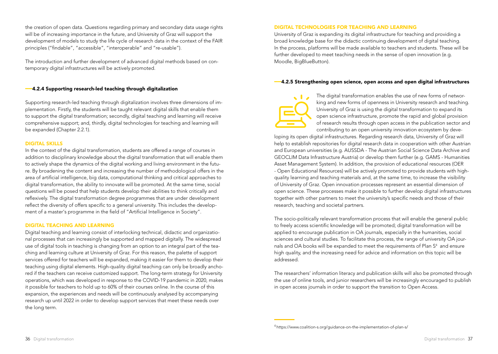the creation of open data. Questions regarding primary and secondary data usage rights will be of increasing importance in the future, and University of Graz will support the development of models to study the life cycle of research data in the context of the FAIR principles ("findable", "accessible", "interoperable" and "re-usable").

The introduction and further development of advanced digital methods based on contemporary digital infrastructures will be actively promoted.

## ––4.2.4 Supporting research-led teaching through digitalization

Supporting research-led teaching through digitalization involves three dimensions of implementation. Firstly, the students will be taught relevant digital skills that enable them to support the digital transformation; secondly, digital teaching and learning will receive comprehensive support; and, thirdly, digital technologies for teaching and learning will be expanded (Chapter 2.2.1).

#### DIGITAL SKILLS

In the context of the digital transformation, students are offered a range of courses in addition to disciplinary knowledge about the digital transformation that will enable them to actively shape the dynamics of the digital working and living environment in the future. By broadening the content and increasing the number of methodological offers in the area of artificial intelligence, big data, computational thinking and critical approaches to digital transformation, the ability to innovate will be promoted. At the same time, social questions will be posed that help students develop their abilities to think critically and reflexively. The digital transformation degree programmes that are under development reflect the diversity of offers specific to a general university. This includes the development of a master's programme in the field of "Artificial Intelligence in Society".

#### DIGITAL TEACHING AND LEARNING

Digital teaching and learning consist of interlocking technical, didactic and organizational processes that can increasingly be supported and mapped digitally. The widespread use of digital tools in teaching is changing from an option to an integral part of the teaching and learning culture at University of Graz. For this reason, the palette of support services offered for teachers will be expanded, making it easier for them to develop their teaching using digital elements. High-quality digital teaching can only be broadly anchored if the teachers can receive customized support. The long-term strategy for University operations, which was developed in response to the COVID-19 pandemic in 2020, makes it possible for teachers to hold up to 60% of their courses online. In the course of this expansion, the experiences and needs will be continuously analysed by accompanying research up until 2022 in order to develop support services that meet these needs over the long term.

#### DIGITAL TECHNOLOGIES FOR TEACHING AND LEARNING

University of Graz is expanding its digital infrastructure for teaching and providing a broad knowledge base for the didactic continuing development of digital teaching. In the process, platforms will be made available to teachers and students. These will be further developed to meet teaching needs in the sense of open innovation (e.g. Moodle, BigBlueButton).

### ––4.2.5 Strengthening open science, open access and open digital infrastructures

The digital transformation enables the use of new forms of networking and new forms of openness in University research and teaching. University of Graz is using the digital transformation to expand its open science infrastructure, promote the rapid and global provision of research results through open access in the publication sector and contributing to an open university innovation ecosystem by deve-

loping its open digital infrastructures. Regarding research data, University of Graz will help to establish repositories for digital research data in cooperation with other Austrian and European universities (e.g. AUSSDA - The Austrian Social Science Data Archive and GEOCLIM Data Infrastructure Austria) or develop them further (e.g. GAMS - Humanities Asset Management System). In addition, the provision of educational resources (OER - Open Educational Resources) will be actively promoted to provide students with highquality learning and teaching materials and, at the same time, to increase the visibility of University of Graz. Open innovation processes represent an essential dimension of open science. These processes make it possible to further develop digital infrastructures together with other partners to meet the university's specific needs and those of their research, teaching and societal partners.

The socio-politically relevant transformation process that will enable the general public to freely access scientific knowledge will be promoted; digital transformation will be applied to encourage publication in OA journals, especially in the humanities, social sciences and cultural studies. To facilitate this process, the range of university OA journals and OA books will be expanded to meet the requirements of Plan  $S<sup>4</sup>$  and ensure high quality, and the increasing need for advice and information on this topic will be addressed.

The researchers' information literacy and publication skills will also be promoted through the use of online tools, and junior researchers will be increasingly encouraged to publish in open access journals in order to support the transition to Open Access.

4 https://www.coalition-s.org/guidance-on-the-implementation-of-plan-s/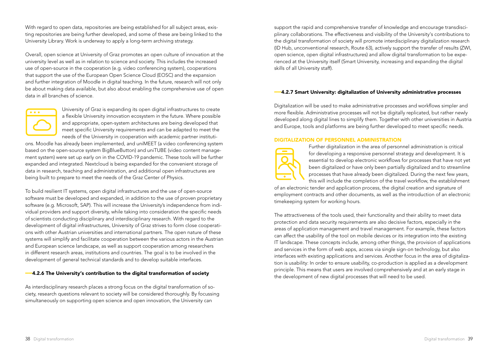With regard to open data, repositories are being established for all subject areas, existing repositories are being further developed, and some of these are being linked to the University Library. Work is underway to apply a long-term archiving strategy.

Overall, open science at University of Graz promotes an open culture of innovation at the university level as well as in relation to science and society. This includes the increased use of open-source in the cooperation (e.g. video conferencing system), cooperations that support the use of the European Open Science Cloud (EOSC) and the expansion and further integration of Moodle in digital teaching. In the future, research will not only be about making data available, but also about enabling the comprehensive use of open data in all branches of science.



University of Graz is expanding its open digital infrastructures to create a flexible University innovation ecosystem in the future. Where possible and appropriate, open-system architectures are being developed that meet specific University requirements and can be adapted to meet the needs of the University in cooperation with academic partner instituti-

ons. Moodle has already been implemented, and uniMEET (a video conferencing system based on the open-source system BigBlueButton) and uniTUBE (video content management system) were set up early on in the COVID-19 pandemic. These tools will be further expanded and integrated. Nextcloud is being expanded for the convenient storage of data in research, teaching and administration, and additional open infrastructures are being built to prepare to meet the needs of the Graz Center of Physics.

To build resilient IT systems, open digital infrastructures and the use of open-source software must be developed and expanded, in addition to the use of proven proprietary software (e.g. Microsoft, SAP). This will increase the University's independence from individual providers and support diversity, while taking into consideration the specific needs of scientists conducting disciplinary and interdisciplinary research. With regard to the development of digital infrastructures, University of Graz strives to form close cooperations with other Austrian universities and international partners. The open nature of these systems will simplify and facilitate cooperation between the various actors in the Austrian and European science landscape, as well as support cooperation among researchers in different research areas, institutions and countries. The goal is to be involved in the development of general technical standards and to develop suitable interfaces.

# ––4.2.6 The University's contribution to the digital transformation of society

As interdisciplinary research places a strong focus on the digital transformation of society, research questions relevant to society will be considered thoroughly. By focussing simultaneously on supporting open science and open innovation, the University can

support the rapid and comprehensive transfer of knowledge and encourage transdisciplinary collaborations. The effectiveness and visibility of the University's contributions to the digital transformation of society will promote interdisciplinary digitalization research (ID Hub, unconventional research, Route 63), actively support the transfer of results (ZWI, open science, open digital infrastructures) and allow digital transformation to be experienced at the University itself (Smart University, increasing and expanding the digital skills of all University staff).

#### ––4.2.7 Smart University: digitalization of University administrative processes

Digitalization will be used to make administrative processes and workflows simpler and more flexible. Administrative processes will not be digitally replicated, but rather newly developed along digital lines to simplify them. Together with other universities in Austria and Europe, tools and platforms are being further developed to meet specific needs.

#### DIGITALIZATION OF PERSONNEL ADMINISTRATION



Further digitalization in the area of personnel administration is critical for developing a responsive personnel strategy and development. It is essential to develop electronic workflows for processes that have not yet been digitalized or have only been partially digitalized and to streamline processes that have already been digitalized. During the next few years, this will include the completion of the travel workflow, the establishment

of an electronic tender and application process, the digital creation and signature of employment contracts and other documents, as well as the introduction of an electronic timekeeping system for working hours.

The attractiveness of the tools used, their functionality and their ability to meet data protection and data security requirements are also decisive factors, especially in the areas of application management and travel management. For example, these factors can affect the usability of the tool on mobile devices or its integration into the existing IT landscape. These concepts include, among other things, the provision of applications and services in the form of web apps, access via single sign-on technology, but also interfaces with existing applications and services. Another focus in the area of digitalization is usability: In order to ensure usability, co-production is applied as a development principle. This means that users are involved comprehensively and at an early stage in the development of new digital processes that will need to be used.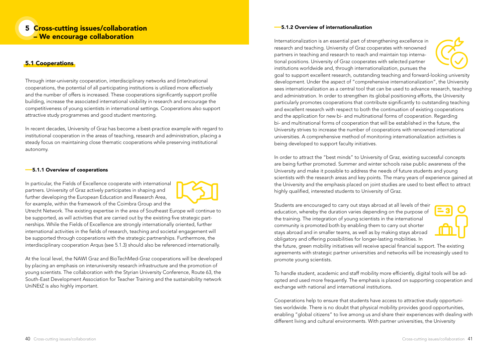# 5 Cross-cutting issues/collaboration – We encourage collaboration

# 5.1 Cooperations

Through inter-university cooperation, interdisciplinary networks and (inter)national cooperations, the potential of all participating institutions is utilized more effectively and the number of offers is increased. These cooperations significantly support profile building, increase the associated international visibility in research and encourage the competitiveness of young scientists in international settings. Cooperations also support attractive study programmes and good student mentoring.

In recent decades, University of Graz has become a best-practice example with regard to institutional cooperation in the areas of teaching, research and administration, placing a steady focus on maintaining close thematic cooperations while preserving institutional autonomy.

#### ––5.1.1 Overview of cooperations

In particular, the Fields of Excellence cooperate with international partners. University of Graz actively participates in shaping and further developing the European Education and Research Area, for example, within the framework of the Coimbra Group and the

Utrecht Network. The existing expertise in the area of Southeast Europe will continue to be supported, as will activities that are carried out by the existing five strategic partnerships. While the Fields of Excellence are strongly internationally oriented, further international activities in the fields of research, teaching and societal engagement will be supported through cooperations with the strategic partnerships. Furthermore, the interdisciplinary cooperation Arqus (see 5.1.3) should also be referenced internationally.

At the local level, the NAWI Graz and BioTechMed-Graz cooperations will be developed by placing an emphasis on interuniversity research infrastructure and the promotion of young scientists. The collaboration with the Styrian University Conference, Route 63, the South-East Development Association for Teacher Training and the sustainability network UniNEtZ is also highly important.

#### ––5.1.2 Overview of internationalization

Internationalization is an essential part of strengthening excellence in research and teaching. University of Graz cooperates with renowned partners in teaching and research to reach and maintain top international positions. University of Graz cooperates with selected partner institutions worldwide and, through internationalization, pursues the



goal to support excellent research, outstanding teaching and forward-looking university development. Under the aspect of "comprehensive internationalization", the University sees internationalization as a central tool that can be used to advance research, teaching and administration. In order to strengthen its global positioning efforts, the University particularly promotes cooperations that contribute significantly to outstanding teaching and excellent research with respect to both the continuation of existing cooperations and the application for new bi- and multinational forms of cooperation. Regarding bi- and multinational forms of cooperation that will be established in the future, the University strives to increase the number of cooperations with renowned international universities. A comprehensive method of monitoring internationalization activities is being developed to support faculty initiatives.

In order to attract the "best minds" to University of Graz, existing successful concepts are being further promoted. Summer and winter schools raise public awareness of the University and make it possible to address the needs of future students and young scientists with the research areas and key points. The many years of experience gained at the University and the emphasis placed on joint studies are used to best effect to attract highly qualified, interested students to University of Graz.

Students are encouraged to carry out stays abroad at all levels of their education, whereby the duration varies depending on the purpose of the training. The integration of young scientists in the international community is promoted both by enabling them to carry out shorter stays abroad and in smaller teams, as well as by making stays abroad obligatory and offering possibilities for longer-lasting mobilities. In



the future, green mobility initiatives will receive special financial support. The existing agreements with strategic partner universities and networks will be increasingly used to promote young scientists.

To handle student, academic and staff mobility more efficiently, digital tools will be adopted and used more frequently. The emphasis is placed on supporting cooperation and exchange with national and international institutions.

Cooperations help to ensure that students have access to attractive study opportunities worldwide. There is no doubt that physical mobility provides good opportunities, enabling "global citizens" to live among us and share their experiences with dealing with different living and cultural environments. With partner universities, the University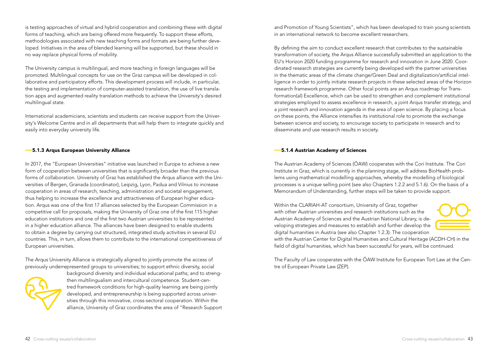is testing approaches of virtual and hybrid cooperation and combining these with digital forms of teaching, which are being offered more frequently. To support these efforts, methodologies associated with new teaching forms and formats are being further developed. Initiatives in the area of blended learning will be supported, but these should in no way replace physical forms of mobility.

The University campus is multilingual, and more teaching in foreign languages will be promoted. Multilingual concepts for use on the Graz campus will be developed in collaborative and participatory efforts. This development process will include, in particular, the testing and implementation of computer-assisted translation, the use of live translation apps and augmented reality translation methods to achieve the University's desired multilingual state.

International academicians, scientists and students can receive support from the University's Welcome Centre and in all departments that will help them to integrate quickly and easily into everyday university life.

#### ––5.1.3 Arqus European University Alliance

In 2017, the "European Universities" initiative was launched in Europe to achieve a new form of cooperation between universities that is significantly broader than the previous forms of collaboration. University of Graz has established the Arqus alliance with the Universities of Bergen, Granada (coordinator), Leipzig, Lyon, Padua and Vilnius to increase cooperation in areas of research, teaching, administration and societal engagement, thus helping to increase the excellence and attractiveness of European higher education. Arqus was one of the first 17 alliances selected by the European Commission in a competitive call for proposals, making the University of Graz one of the first 115 higher education institutions and one of the first two Austrian universities to be represented in a higher education alliance. The alliances have been designed to enable students to obtain a degree by carrying out structured, integrated study activities in several EU countries. This, in turn, allows them to contribute to the international competitiveness of European universities.

The Arqus University Alliance is strategically aligned to jointly promote the access of previously underrepresented groups to universities; to support ethnic diversity, social



background diversity and individual educational paths; and to strengthen multilingualism and intercultural competence. Student-centred framework conditions for high-quality learning are being jointly developed, and entrepreneurship is being supported across universities through this innovative, cross-sectoral cooperation. Within the alliance, University of Graz coordinates the area of "Research Support and Promotion of Young Scientists", which has been developed to train young scientists in an international network to become excellent researchers.

By defining the aim to conduct excellent research that contributes to the sustainable transformation of society, the Arqus Alliance successfully submitted an application to the EU's Horizon 2020 funding programme for research and innovation in June 2020. Coordinated research strategies are currently being developed with the partner universities in the thematic areas of the climate change/Green Deal and digitalization/artificial intelligence in order to jointly initiate research projects in these selected areas of the Horizon research framework programme. Other focal points are an Arqus roadmap for Transformation(al) Excellence, which can be used to strengthen and complement institutional strategies employed to assess excellence in research, a joint Arqus transfer strategy, and a joint research and innovation agenda in the area of open science. By placing a focus on these points, the Alliance intensifies its institutional role to promote the exchange between science and society, to encourage society to participate in research and to disseminate and use research results in society.

#### ––5.1.4 Austrian Academy of Sciences

The Austrian Academy of Sciences (ÖAW) cooperates with the Cori Institute. The Cori Institute in Graz, which is currently in the planning stage, will address BioHealth problems using mathematical modelling approaches, whereby the modelling of biological processes is a unique selling point (see also Chapters 1.2.2 and 5.1.6). On the basis of a Memorandum of Understanding, further steps will be taken to provide support.

Within the CLARIAH-AT consortium, University of Graz, together with other Austrian universities and research institutions such as the Austrian Academy of Sciences and the Austrian National Library, is developing strategies and measures to establish and further develop the digital humanities in Austria (see also Chapter 1.2.3). The cooperation



with the Austrian Center for Digital Humanities and Cultural Heritage (ACDH-CH) in the field of digital humanities, which has been successful for years, will be continued.

The Faculty of Law cooperates with the ÖAW Institute for European Tort Law at the Centre of European Private Law (ZEP).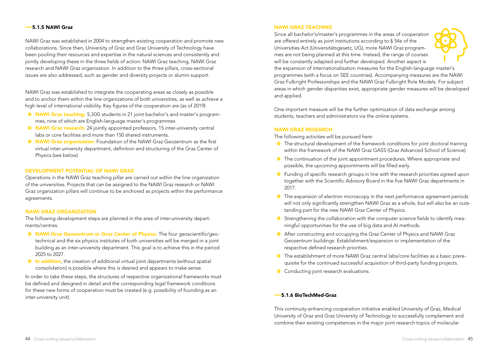#### $-5.15$  NAWI Graz

NAWI Graz was established in 2004 to strengthen existing cooperation and promote new collaborations. Since then, University of Graz and Graz University of Technology have been pooling their resources and expertise in the natural sciences and consistently and jointly developing these in the three fields of action: NAWI Graz teaching, NAWI Graz research and NAWI Graz organization. In addition to the three pillars, cross-sectional issues are also addressed, such as gender and diversity projects or alumni support.

NAWI Graz was established to integrate the cooperating areas as closely as possible and to anchor them within the line organizations of both universities, as well as achieve a high level of international visibility. Key figures of the cooperation are (as of 2019):

- **o** NAWI Graz teaching: 5,300 students in 21 joint bachelor's and master's programmes, nine of which are English-language master's programmes
- **NAWI Graz research:** 24 jointly appointed professors, 15 inter-university central labs or core facilities and more than 150 shared instruments.
- **O** NAWI Graz organisation: Foundation of the NAWI Graz Geozentrum as the first virtual inter-university department, definition and structuring of the Graz Center of Physics (see below)

#### DEVELOPMENT POTENTIAL OF NAWI GRAZ

Operations in the NAWI Graz teaching pillar are carried out within the line organization of the universities. Projects that can be assigned to the NAWI Graz research or NAWI Graz organization pillars will continue to be anchored as projects within the performance agreements.

#### NAWI GRAZ ORGANIZATION

The following development steps are planned in the area of inter-university departments/centres:

- <sup>o</sup> NAWI Graz Geozentrum or Graz Center of Physics: The four geoscientific/geotechnical and the six physics institutes of both universities will be merged in a joint building as an inter-university department. This goal is to achieve this in the period 2025 to 2027.
- **•** In addition, the creation of additional virtual joint departments (without spatial consolidation) is possible where this is desired and appears to make sense.

In order to take these steps, the structures of respective organizational frameworks must be defined and designed in detail and the corresponding legal framework conditions for these new forms of cooperation must be created (e.g. possibility of founding as an inter-university unit).

#### NAWI GRAZ TEACHING

Since all bachelor's/master's programmes in the areas of cooperation are offered entirely as joint institutions according to § 54e of the Universities Act (Universitätsgesetz, UG), more NAWI Graz programmes are not being planned at this time. Instead, the range of courses will be constantly adapted and further developed. Another aspect is



the expansion of internationalization measures for the English-language master's programmes (with a focus on SEE countries). Accompanying measures are the NAWI Graz Fulbright Professorships and the NAWI Graz Fulbright Role Models. For subject areas in which gender disparities exist, appropriate gender measures will be developed and applied.

One important measure will be the further optimization of data exchange among students, teachers and administrators via the online systems.

#### NAWI GRAZ RESEARCH

The following activities will be pursued here:

- ~ The structural development of the framework conditions for joint doctoral training within the framework of the NAWI Graz GASS (Graz Advanced School of Science).
- <sup>o</sup> The continuation of the joint appointment procedures. Where appropriate and possible, the upcoming appointments will be filled early.
- **•** Funding of specific research groups in line with the research priorities agreed upon together with the Scientific Advisory Board in the five NAWI Graz departments in 2017.
- The expansion of electron microscopy in the next performance agreement periods will not only significantly strengthen NAWI Graz as a whole, but will also be an outstanding part for the new NAWI Graz Center of Physics.
- <sup>o</sup> Strengthening the collaboration with the computer science fields to identify meaningful opportunities for the use of big data and AI methods.
- ~ After constructing and occupying the Graz Center of Physics and NAWI Graz Geozentrum buildings: Establishment/expansion or implementation of the respective defined research priorities.
- ~ The establishment of more NAWI Graz central labs/core facilities as a basic prerequisite for the continued successful acquisition of third-party funding projects.
- Conducting joint research evaluations.

# ––5.1.6 BioTechMed-Graz

This continuity-enhancing cooperation initiative enabled University of Graz, Medical University of Graz and Graz University of Technology to successfully complement and combine their existing competences in the major joint research topics of molecular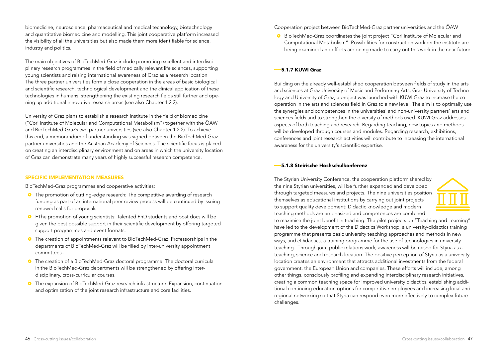biomedicine, neuroscience, pharmaceutical and medical technology, biotechnology and quantitative biomedicine and modelling. This joint cooperative platform increased the visibility of all the universities but also made them more identifiable for science, industry and politics.

The main objectives of BioTechMed-Graz include promoting excellent and interdisciplinary research programmes in the field of medically relevant life sciences, supporting young scientists and raising international awareness of Graz as a research location. The three partner universities form a close cooperation in the areas of basic biological and scientific research, technological development and the clinical application of these technologies in humans, strengthening the existing research fields still further and opening up additional innovative research areas (see also Chapter 1.2.2).

University of Graz plans to establish a research institute in the field of biomedicine ("Cori Institute of Molecular and Computational Metabolism") together with the ÖAW and BioTechMed-Graz's two partner universities (see also Chapter 1.2.2). To achieve this end, a memorandum of understanding was signed between the BioTechMed-Graz partner universities and the Austrian Academy of Sciences. The scientific focus is placed on creating an interdisciplinary environment and on areas in which the university location of Graz can demonstrate many years of highly successful research competence.

#### SPECIFIC IMPLEMENTATION MEASURES

BioTechMed-Graz programmes and cooperative activities:

- The promotion of cutting-edge research: The competitive awarding of research funding as part of an international peer review process will be continued by issuing renewed calls for proposals.
- <sup>o</sup> FThe promotion of young scientists: Talented PhD students and post docs will be given the best possible support in their scientific development by offering targeted support programmes and event formats.
- The creation of appointments relevant to BioTechMed-Graz: Professorships in the departments of BioTechMed-Graz will be filled by inter-university appointment committees..
- ~ The creation of a BioTechMed-Graz doctoral programme: The doctoral curricula in the BioTechMed-Graz departments will be strengthened by offering interdisciplinary, cross-curricular courses.
- ~ The expansion of BioTechMed-Graz research infrastructure: Expansion, continuation and optimization of the joint research infrastructure and core facilities.

Cooperation project between BioTechMed-Graz partner universities and the ÖAW

~ BioTechMed-Graz coordinates the joint project "Cori Institute of Molecular and Computational Metabolism". Possibilities for construction work on the institute are being examined and efforts are being made to carry out this work in the near future.

#### ––5.1.7 KUWI Graz

Building on the already well-established cooperation between fields of study in the arts and sciences at Graz University of Music and Performing Arts, Graz University of Technology and University of Graz, a project was launched with KUWI Graz to increase the cooperation in the arts and sciences field in Graz to a new level. The aim is to optimally use the synergies and competences in the universities' and non-university partners' arts and sciences fields and to strengthen the diversity of methods used. KUWI Graz addresses aspects of both teaching and research. Regarding teaching, new topics and methods will be developed through courses and modules. Regarding research, exhibitions, conferences and joint research activities will contribute to increasing the international awareness for the university's scientific expertise.

#### ––5.1.8 Steirische Hochschulkonferenz

The Styrian University Conference, the cooperation platform shared by the nine Styrian universities, will be further expanded and developed through targeted measures and projects. The nine universities position themselves as educational institutions by carrying out joint projects to support quality development: Didactic knowledge and modern teaching methods are emphasized and competences are combined



to maximise the joint benefit in teaching. The pilot projects on "Teaching and Learning" have led to the development of the Didactics Workshop, a university-didactics training programme that presents basic university teaching approaches and methods in new ways, and eDidactics, a training programme for the use of technologies in university teaching. Through joint public relations work, awareness will be raised for Styria as a teaching, science and research location. The positive perception of Styria as a university location creates an environment that attracts additional investments from the federal government, the European Union and companies. These efforts will include, among other things, consciously profiling and expanding interdisciplinary research initiatives, creating a common teaching space for improved university didactics, establishing additional continuing education options for competitive employees and increasing local and regional networking so that Styria can respond even more effectively to complex future challenges.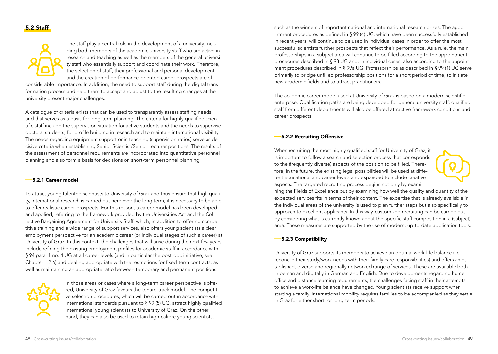## 5.2 Staff



The staff play a central role in the development of a university, including both members of the academic university staff who are active in research and teaching as well as the members of the general university staff who essentially support and coordinate their work. Therefore, the selection of staff, their professional and personal development and the creation of performance-oriented career prospects are of

considerable importance. In addition, the need to support staff during the digital transformation process and help them to accept and adjust to the resulting changes at the university present major challenges.

A catalogue of criteria exists that can be used to transparently assess staffing needs and that serves as a basis for long-term planning. The criteria for highly qualified scientific staff include the supervision situation for active students and the needs to supervise doctoral students, for profile building in research and to maintain international visibility. The needs regarding equipment support or in teaching (supervision ratios) serve as decisive criteria when establishing Senior Scientist/Senior Lecturer positions. The results of the assessment of personnel requirements are incorporated into quantitative personnel planning and also form a basis for decisions on short-term personnel planning.

#### ––5.2.1 Career model

To attract young talented scientists to University of Graz and thus ensure that high quality, international research is carried out here over the long term, it is necessary to be able to offer realistic career prospects. For this reason, a career model has been developed and applied, referring to the framework provided by the Universities Act and the Collective Bargaining Agreement for University Staff, which, in addition to offering competitive training and a wide range of support services, also offers young scientists a clear employment perspective for an academic career (or individual stages of such a career) at University of Graz. In this context, the challenges that will arise during the next few years include refining the existing employment profiles for academic staff in accordance with § 94 para. 1 no. 4 UG at all career levels (and in particular the post-doc initiative, see Chapter 1.2.6) and dealing appropriate with the restrictions for fixed-term contracts, as well as maintaining an appropriate ratio between temporary and permanent positions.



In those areas or cases where a long-term career perspective is offered, University of Graz favours the tenure-track model. The competitive selection procedures, which will be carried out in accordance with international standards pursuant to § 99 (5) UG, attract highly qualified international young scientists to University of Graz. On the other hand, they can also be used to retain high-calibre young scientists,

such as the winners of important national and international research prizes. The appointment procedures as defined in § 99 (4) UG, which have been successfully established in recent years, will continue to be used in individual cases in order to offer the most successful scientists further prospects that reflect their performance. As a rule, the main professorships in a subject area will continue to be filled according to the appointment procedures described in § 98 UG and, in individual cases, also according to the appointment procedures described in § 99a UG. Professorships as described in § 99 (1) UG serve primarily to bridge unfilled professorship positions for a short period of time, to initiate new academic fields and to attract practitioners.

The academic career model used at University of Graz is based on a modern scientific enterprise. Qualification paths are being developed for general university staff; qualified staff from different departments will also be offered attractive framework conditions and career prospects.

#### ––5.2.2 Recruiting Offensive

When recruiting the most highly qualified staff for University of Graz, it is important to follow a search and selection process that corresponds to the (frequently diverse) aspects of the position to be filled. Therefore, in the future, the existing legal possibilities will be used at different educational and career levels and expanded to include creative aspects. The targeted recruiting process begins not only by exami-



ning the Fields of Excellence but by examining how well the quality and quantity of the expected services fits in terms of their content. The expertise that is already available in the individual areas of the university is used to plan further steps but also specifically to approach to excellent applicants. In this way, customized recruiting can be carried out by considering what is currently known about the specific staff composition in a (subject) area. These measures are supported by the use of modern, up-to-date application tools.

#### ––5.2.3 Compatibility

University of Graz supports its members to achieve an optimal work-life balance (i.e. reconcile their study/work needs with their family care responsibilities) and offers an established, diverse and regionally networked range of services. These are available both in person and digitally in German and English. Due to developments regarding home office and distance learning requirements, the challenges facing staff in their attempts to achieve a work-life balance have changed. Young scientists receive support when starting a family. International mobility requires families to be accompanied as they settle in Graz for either short- or long-term periods.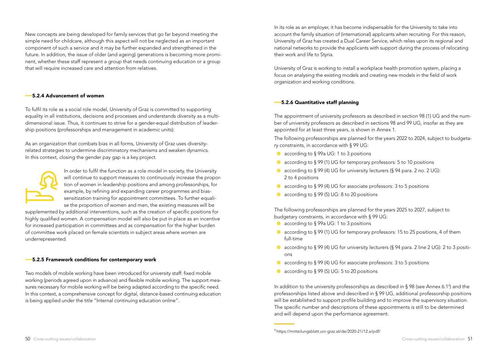New concepts are being developed for family services that go far beyond meeting the simple need for childcare, although this aspect will not be neglected as an important component of such a service and it may be further expanded and strengthened in the future. In addition, the issue of older (and ageing) generations is becoming more prominent, whether these staff represent a group that needs continuing education or a group that will require increased care and attention from relatives.

#### ––5.2.4 Advancement of women

To fulfil its role as a social role model, University of Graz is committed to supporting equality in all institutions, decisions and processes and understands diversity as a multidimensional issue. Thus, it continues to strive for a gender-equal distribution of leadership positions (professorships and management in academic units).

As an organization that combats bias in all forms, University of Graz uses diversityrelated strategies to undermine discriminatory mechanisms and weaken dynamics. In this context, closing the gender pay gap is a key project.



In order to fulfil the function as a role model in society, the University will continue to support measures to continuously increase the proportion of women in leadership positions and among professorships, for example, by refining and expanding career programmes and biassensitization training for appointment committees. To further equalise the proportion of women and men, the existing measures will be

supplemented by additional interventions, such as the creation of specific positions for highly qualified women. A compensation model will also be put in place as an incentive for increased participation in committees and as compensation for the higher burden of committee work placed on female scientists in subject areas where women are underrepresented.

#### ––5.2.5 Framework conditions for contemporary work

Two models of mobile working have been introduced for university staff: fixed mobile working (periods agreed upon in advance) and flexible mobile working. The support measures necessary for mobile working will be being adapted according to the specific need. In this context, a comprehensive concept for digital, distance-based continuing education is being applied under the title "Internal continuing education online".

In its role as an employer, it has become indispensable for the University to take into account the family situation of (international) applicants when recruiting. For this reason, University of Graz has created a Dual Career Service, which relies upon its regional and national networks to provide the applicants with support during the process of relocating their work and life to Styria.

University of Graz is working to install a workplace health promotion system, placing a focus on analysing the existing models and creating new models in the field of work organization and working conditions.

# ––5.2.6 Quantitative staff planning

The appointment of university professors as described in section 98 (1) UG and the number of university professors as described in sections 98 and 99 UG, insofar as they are appointed for at least three years, is shown in Annex 1.

The following professorships are planned for the years 2022 to 2024, subject to budgetary constraints, in accordance with § 99 UG:

- according to § 99a UG: 1 to 3 positions
- according to § 99 (1) UG for temporary professors: 5 to 10 positions
- ~ according to § 99 (4) UG for university lecturers (§ 94 para. 2 no. 2 UG): 2 to 4 positions
- according to § 99 (4) UG for associate professors: 3 to 5 positions
- according to  $\S 99 (5)$  UG: 8 to 20 positions

The following professorships are planned for the years 2025 to 2027, subject to budgetary constraints, in accordance with § 99 UG:

- according to § 99a UG: 1 to 3 positions
- ~ according to § 99 (1) UG for temporary professors: 15 to 25 positions, 4 of them full-time
- ~ according to § 99 (4) UG for university lecturers (§ 94 para. 2 line 2 UG): 2 to 3 positions
- according to § 99 (4) UG for associate professors: 3 to 5 positions
- according to  $\S 99$  (5) UG: 5 to 20 positions

In addition to the university professorships as described in  $\S 98$  (see Annex 6.1<sup>5</sup>) and the professorships listed above and described in § 99 UG, additional professorship positions will be established to support profile building and to improve the supervisory situation. The specific number and descriptions of these appointments is still to be determined and will depend upon the performance agreement.

<sup>5</sup> https://mitteilungsblatt.uni-graz.at/de/2020-21/12.a/pdf/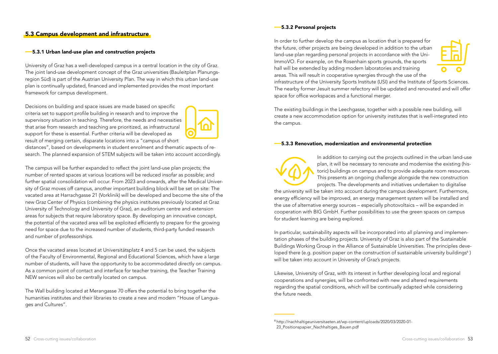# 5.3 Campus development and infrastructure

#### ––5.3.1 Urban land-use plan and construction projects

University of Graz has a well-developed campus in a central location in the city of Graz. The joint land-use development concept of the Graz universities (Bauleitplan Planungsregion Süd) is part of the Austrian University Plan. The way in which this urban land-use plan is continually updated, financed and implemented provides the most important framework for campus development.

Decisions on building and space issues are made based on specific criteria set to support profile building in research and to improve the supervisory situation in teaching. Therefore, the needs and necessities that arise from research and teaching are prioritized, as infrastructural support for these is essential. Further criteria will be developed as result of merging certain, disparate locations into a "campus of short

distances", based on developments in student enrolment and thematic aspects of research. The planned expansion of STEM subjects will be taken into account accordingly.

The campus will be further expanded to reflect the joint land-use plan projects; the number of rented spaces at various locations will be reduced insofar as possible; and further spatial consolidation will occur. From 2023 and onwards, after the Medical University of Graz moves off campus, another important building block will be set on site: The vacated area at Harrachgasse 21 (Vorklinik) will be developed and become the site of the new Graz Center of Physics (combining the physics institutes previously located at Graz University of Technology and University of Graz), an auditorium centre and extension areas for subjects that require laboratory space. By developing an innovative concept, the potential of the vacated area will be exploited efficiently to prepare for the growing need for space due to the increased number of students, third-party funded research and number of professorships.

Once the vacated areas located at Universitätsplatz 4 and 5 can be used, the subjects of the Faculty of Environmental, Regional and Educational Sciences, which have a large number of students, will have the opportunity to be accommodated directly on campus. As a common point of contact and interface for teacher training, the Teacher Training NEW services will also be centrally located on campus.

The Wall building located at Merangasse 70 offers the potential to bring together the humanities institutes and their libraries to create a new and modern "House of Languages and Cultures".

#### ––5.3.2 Personal projects

In order to further develop the campus as location that is prepared for the future, other projects are being developed in addition to the urban land-use plan regarding personal projects in accordance with the Uni-ImmoVO. For example, on the Rosenhain sports grounds, the sports hall will be extended by adding modern laboratories and training areas. This will result in cooperative synergies through the use of the



infrastructure of the University Sports Institute (USI) and the Institute of Sports Sciences. The nearby former Jesuit summer refectory will be updated and renovated and will offer space for office workspaces and a functional merger.

The existing buildings in the Leechgasse, together with a possible new building, will create a new accommodation option for university institutes that is well-integrated into the campus.

#### ––5.3.3 Renovation, modernization and environmental protection

In addition to carrying out the projects outlined in the urban land-use plan, it will be necessary to renovate and modernise the existing (historic) buildings on campus and to provide adequate room resources. This presents an ongoing challenge alongside the new construction projects. The developments and initiatives undertaken to digitalise the university will be taken into account during the campus development. Furthermore, energy efficiency will be improved, an energy management system will be installed and the use of alternative energy sources – especially photovoltaics – will be expanded in cooperation with BIG GmbH. Further possibilities to use the green spaces on campus for student learning are being explored.

In particular, sustainability aspects will be incorporated into all planning and implementation phases of the building projects. University of Graz is also part of the Sustainable Buildings Working Group in the Alliance of Sustainable Universities. The principles developed there (e.g. position paper on the construction of sustainable university buildings<sup>6</sup>) will be taken into account in University of Graz's projects.

Likewise, University of Graz, with its interest in further developing local and regional cooperations and synergies, will be confronted with new and altered requirements regarding the spatial conditions, which will be continually adapted while considering the future needs.

<sup>6</sup> http://nachhaltigeuniversitaeten.at/wp-content/uploads/2020/03/2020-01- 23 Positionspapier\_Nachhaltiges\_Bauen.pdf